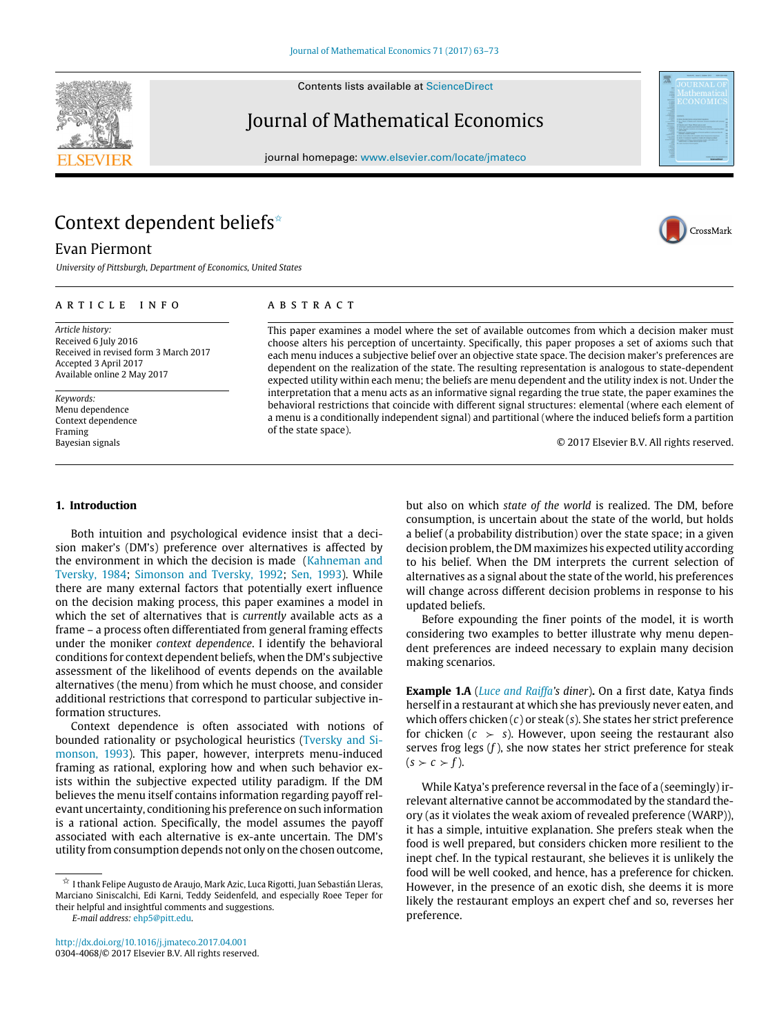Contents lists available at [ScienceDirect](http://www.elsevier.com/locate/jmateco)



journal homepage: [www.elsevier.com/locate/jmateco](http://www.elsevier.com/locate/jmateco)

# Context dependent beliefs<sup>\*</sup>

Evan Piermont

*University of Pittsburgh, Department of Economics, United States*

#### A R T I C L E I N F O

*Article history:* Received 6 July 2016 Received in revised form 3 March 2017 Accepted 3 April 2017 Available online 2 May 2017

*Keywords:* Menu dependence Context dependence Framing Bayesian signals

# A B S T R A C T

This paper examines a model where the set of available outcomes from which a decision maker must choose alters his perception of uncertainty. Specifically, this paper proposes a set of axioms such that each menu induces a subjective belief over an objective state space. The decision maker's preferences are dependent on the realization of the state. The resulting representation is analogous to state-dependent expected utility within each menu; the beliefs are menu dependent and the utility index is not. Under the interpretation that a menu acts as an informative signal regarding the true state, the paper examines the behavioral restrictions that coincide with different signal structures: elemental (where each element of a menu is a conditionally independent signal) and partitional (where the induced beliefs form a partition of the state space).

© 2017 Elsevier B.V. All rights reserved.

CrossMark

# **1. Introduction**

Both intuition and psychological evidence insist that a decision maker's (DM's) preference over alternatives is affected by the environment in which the decision is made [\(Kahneman](#page-10-0) [and](#page-10-0) [Tversky,](#page-10-0) [1984;](#page-10-0) [Simonson](#page-10-1) [and](#page-10-1) [Tversky,](#page-10-1) [1992;](#page-10-1) [Sen,](#page-10-2) [1993\)](#page-10-2). While there are many external factors that potentially exert influence on the decision making process, this paper examines a model in which the set of alternatives that is *currently* available acts as a frame – a process often differentiated from general framing effects under the moniker *context dependence*. I identify the behavioral conditions for context dependent beliefs, when the DM's subjective assessment of the likelihood of events depends on the available alternatives (the menu) from which he must choose, and consider additional restrictions that correspond to particular subjective information structures.

Context dependence is often associated with notions of [b](#page-10-3)ounded rationality or psychological heuristics [\(Tversky](#page-10-3) [and](#page-10-3) [Si](#page-10-3)[monson,](#page-10-3) [1993\)](#page-10-3). This paper, however, interprets menu-induced framing as rational, exploring how and when such behavior exists within the subjective expected utility paradigm. If the DM believes the menu itself contains information regarding payoff relevant uncertainty, conditioning his preference on such information is a rational action. Specifically, the model assumes the payoff associated with each alternative is ex-ante uncertain. The DM's utility from consumption depends not only on the chosen outcome,

*E-mail address:* [ehp5@pitt.edu.](mailto:ehp5@pitt.edu)

but also on which *state of the world* is realized. The DM, before consumption, is uncertain about the state of the world, but holds a belief (a probability distribution) over the state space; in a given decision problem, the DM maximizes his expected utility according to his belief. When the DM interprets the current selection of alternatives as a signal about the state of the world, his preferences will change across different decision problems in response to his updated beliefs.

Before expounding the finer points of the model, it is worth considering two examples to better illustrate why menu dependent preferences are indeed necessary to explain many decision making scenarios.

<span id="page-0-1"></span>**Example 1.A** (*[Luce](#page-10-4) [and](#page-10-4) [Raiffa'](#page-10-4)s diner*)**.** On a first date, Katya finds herself in a restaurant at which she has previously never eaten, and which offers chicken (*c*) or steak (*s*). She states her strict preference for chicken  $(c > s)$ . However, upon seeing the restaurant also serves frog legs (*f* ), she now states her strict preference for steak  $(s > c > f).$ 

While Katya's preference reversal in the face of a (seemingly) irrelevant alternative cannot be accommodated by the standard theory (as it violates the weak axiom of revealed preference (WARP)), it has a simple, intuitive explanation. She prefers steak when the food is well prepared, but considers chicken more resilient to the inept chef. In the typical restaurant, she believes it is unlikely the food will be well cooked, and hence, has a preference for chicken. However, in the presence of an exotic dish, she deems it is more likely the restaurant employs an expert chef and so, reverses her preference.

<span id="page-0-0"></span> $\overset{\leftrightarrow}{\rtimes}$  I thank Felipe Augusto de Araujo, Mark Azic, Luca Rigotti, Juan Sebastián Lleras, Marciano Siniscalchi, Edi Karni, Teddy Seidenfeld, and especially Roee Teper for their helpful and insightful comments and suggestions.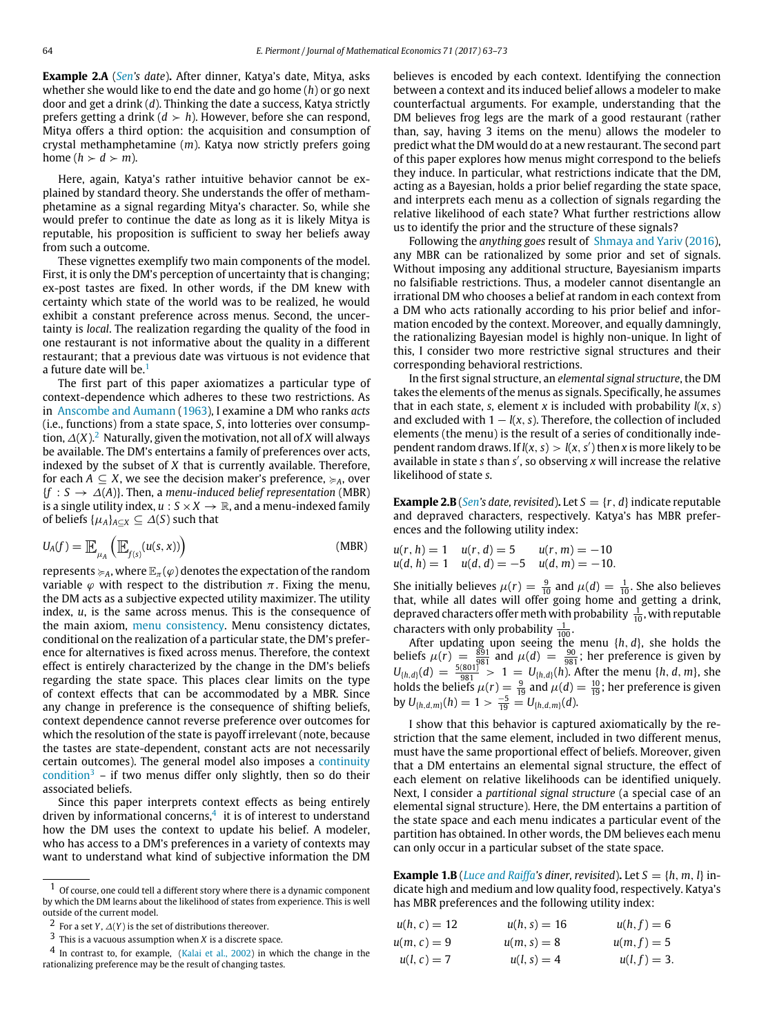<span id="page-1-6"></span>**Example 2.A** (*[Sen'](#page-10-5)s date*)**.** After dinner, Katya's date, Mitya, asks whether she would like to end the date and go home (*h*) or go next door and get a drink (*d*). Thinking the date a success, Katya strictly prefers getting a drink  $(d > h)$ . However, before she can respond, Mitya offers a third option: the acquisition and consumption of crystal methamphetamine (*m*). Katya now strictly prefers going home  $(h > d > m)$ .

Here, again, Katya's rather intuitive behavior cannot be explained by standard theory. She understands the offer of methamphetamine as a signal regarding Mitya's character. So, while she would prefer to continue the date as long as it is likely Mitya is reputable, his proposition is sufficient to sway her beliefs away from such a outcome.

These vignettes exemplify two main components of the model. First, it is only the DM's perception of uncertainty that is changing; ex-post tastes are fixed. In other words, if the DM knew with certainty which state of the world was to be realized, he would exhibit a constant preference across menus. Second, the uncertainty is *local*. The realization regarding the quality of the food in one restaurant is not informative about the quality in a different restaurant; that a previous date was virtuous is not evidence that a future date will be.<sup>[1](#page-1-0)</sup>

The first part of this paper axiomatizes a particular type of context-dependence which adheres to these two restrictions. As in [Anscombe](#page-10-6) [and](#page-10-6) [Aumann](#page-10-6) [\(1963\)](#page-10-6), I examine a DM who ranks *acts* (i.e., functions) from a state space, *S*, into lotteries over consumption,∆(*X*).[2](#page-1-1) Naturally, given the motivation, not all of *X* will always be available. The DM's entertains a family of preferences over acts, indexed by the subset of *X* that is currently available. Therefore, for each  $A \subseteq X$ , we see the decision maker's preference,  $\succeq_{A}$ , over {*f* : *S* → ∆(*A*)}. Then, a *menu-induced belief representation* (MBR) is a single utility index,  $u : S \times X \to \mathbb{R}$ , and a menu-indexed family of beliefs  $\{\mu_A\}_{A\subseteq X} \subseteq \Delta(S)$  such that

$$
U_A(f) = \mathbb{E}_{\mu_A} \left( \mathbb{E}_{f(s)}(u(s, x)) \right) \tag{MBR}
$$

represents  $\succcurlyeq_A$ , where  $\mathbb{E}_{\pi}(\varphi)$  denotes the expectation of the random variable  $\varphi$  with respect to the distribution  $\pi$ . Fixing the menu, the DM acts as a subjective expected utility maximizer. The utility index, *u*, is the same across menus. This is the consequence of the main axiom, [menu](#page-3-0) [consistency.](#page-3-0) Menu consistency dictates, conditional on the realization of a particular state, the DM's preference for alternatives is fixed across menus. Therefore, the context effect is entirely characterized by the change in the DM's beliefs regarding the state space. This places clear limits on the type of context effects that can be accommodated by a MBR. Since any change in preference is the consequence of shifting beliefs, context dependence cannot reverse preference over outcomes for which the resolution of the state is payoff irrelevant (note, because the tastes are state-dependent, constant acts are not necessarily certain outcomes). The general model also imposes a [continuity](#page-4-0) [condition](#page-4-0)<sup>[3](#page-1-2)</sup> – if two menus differ only slightly, then so do their associated beliefs.

Since this paper interprets context effects as being entirely driven by informational concerns, $4\,$  $4\,$  it is of interest to understand how the DM uses the context to update his belief. A modeler, who has access to a DM's preferences in a variety of contexts may want to understand what kind of subjective information the DM believes is encoded by each context. Identifying the connection between a context and its induced belief allows a modeler to make counterfactual arguments. For example, understanding that the DM believes frog legs are the mark of a good restaurant (rather than, say, having 3 items on the menu) allows the modeler to predict what the DM would do at a new restaurant. The second part of this paper explores how menus might correspond to the beliefs they induce. In particular, what restrictions indicate that the DM, acting as a Bayesian, holds a prior belief regarding the state space, and interprets each menu as a collection of signals regarding the relative likelihood of each state? What further restrictions allow us to identify the prior and the structure of these signals?

Following the *anything goes* result of [Shmaya](#page-10-8) [and](#page-10-8) [Yariv](#page-10-8) [\(2016\)](#page-10-8), any MBR can be rationalized by some prior and set of signals. Without imposing any additional structure, Bayesianism imparts no falsifiable restrictions. Thus, a modeler cannot disentangle an irrational DM who chooses a belief at random in each context from a DM who acts rationally according to his prior belief and information encoded by the context. Moreover, and equally damningly, the rationalizing Bayesian model is highly non-unique. In light of this, I consider two more restrictive signal structures and their corresponding behavioral restrictions.

In the first signal structure, an *elemental signal structure*, the DM takes the elements of the menus as signals. Specifically, he assumes that in each state, *s*, element *x* is included with probability *l*(*x*, *s*) and excluded with  $1 - l(x, s)$ . Therefore, the collection of included elements (the menu) is the result of a series of conditionally independent random draws. If  $l(x, s) > l(x, s')$  then *x* is more likely to be available in state *s* than *s* ′ , so observing *x* will increase the relative likelihood of state *s*.

<span id="page-1-5"></span>**Example 2.B** (*[Sen'](#page-10-5)s date, revisited*). Let  $S = \{r, d\}$  indicate reputable and depraved characters, respectively. Katya's has MBR preferences and the following utility index:

$$
u(r, h) = 1 \quad u(r, d) = 5 \quad u(r, m) = -10
$$
  
 
$$
u(d, h) = 1 \quad u(d, d) = -5 \quad u(d, m) = -10.
$$

She initially believes  $\mu(r) = \frac{9}{10}$  and  $\mu(d) = \frac{1}{10}$ . She also believes that, while all dates will offer going home and getting a drink, depraved characters offer meth with probability  $\frac{1}{10}$ , with reputable characters with only probability  $\frac{1}{100}$ .

After updating upon seeing the menu  $\{h, d\}$ , she holds the beliefs  $\mu(r) = \frac{891}{981}$  and  $\mu(d) = \frac{90}{981}$ ; her preference is given by  $U_{\{h,d\}}(d) = \frac{5(801)}{981} > 1 = U_{\{h,d\}}(h)$ . After the menu  $\{h, d, m\}$ , she holds the beliefs  $\mu(r) = \frac{9}{19}$  and  $\mu(d) = \frac{10}{19}$ ; her preference is given  $\frac{1}{19}$  by  $U_{\{h,d,m\}}(h) = 1 > \frac{-5}{19} = U_{\{h,d,m\}}(d).$ 

I show that this behavior is captured axiomatically by the restriction that the same element, included in two different menus, must have the same proportional effect of beliefs. Moreover, given that a DM entertains an elemental signal structure, the effect of each element on relative likelihoods can be identified uniquely. Next, I consider a *partitional signal structure* (a special case of an elemental signal structure). Here, the DM entertains a partition of the state space and each menu indicates a particular event of the partition has obtained. In other words, the DM believes each menu can only occur in a particular subset of the state space.

<span id="page-1-4"></span>**Example 1.B** (*[Luce](#page-10-4) [and](#page-10-4) [Raiffa'](#page-10-4)s diner, revisited*). Let  $S = \{h, m, l\}$  indicate high and medium and low quality food, respectively. Katya's has MBR preferences and the following utility index:

| $u(h, c) = 12$ | $u(h, s) = 16$ | $u(h, f) = 6$  |
|----------------|----------------|----------------|
| $u(m, c) = 9$  | $u(m, s) = 8$  | $u(m, f) = 5$  |
| $u(l, c) = 7$  | $u(l, s) = 4$  | $u(l, f) = 3.$ |

<span id="page-1-0"></span> $1$  Of course, one could tell a different story where there is a dynamic component by which the DM learns about the likelihood of states from experience. This is well outside of the current model.

<span id="page-1-1"></span><sup>2</sup> For a set *<sup>Y</sup>*, ∆(*Y*) is the set of distributions thereover.

<span id="page-1-2"></span><sup>3</sup> This is a vacuous assumption when *X* is a discrete space.

<span id="page-1-3"></span><sup>4</sup> In contrast to, for example, [\(Kalai](#page-10-7) [et](#page-10-7) [al.,](#page-10-7) [2002\)](#page-10-7) in which the change in the rationalizing preference may be the result of changing tastes.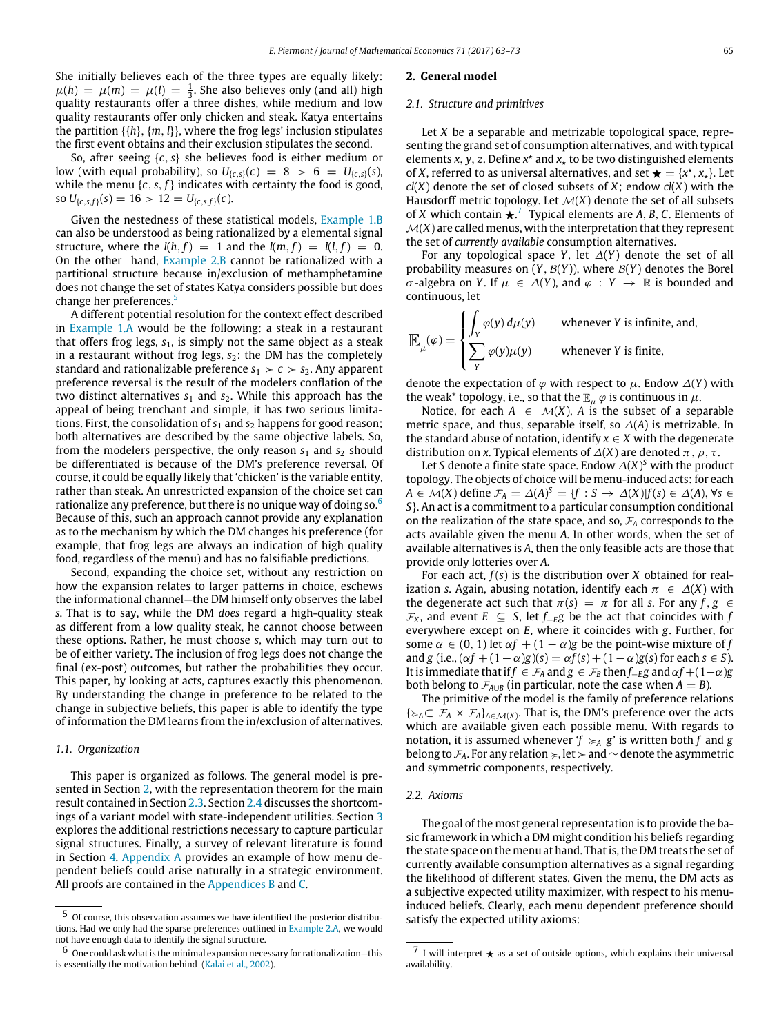She initially believes each of the three types are equally likely:  $\mu(h) = \mu(m) = \mu(l) = \frac{1}{3}$ . She also believes only (and all) high quality restaurants offer a three dishes, while medium and low quality restaurants offer only chicken and steak. Katya entertains the partition  $\{\{h\}, \{m, l\}\}\$ , where the frog legs' inclusion stipulates the first event obtains and their exclusion stipulates the second.

So, after seeing {*c*, *s*} she believes food is either medium or low (with equal probability), so  $U_{\{c,s\}}(c) = 8 > 6 = U_{\{c,s\}}(s)$ , while the menu  $\{c, s, f\}$  indicates with certainty the food is good, so  $U_{\{c,s,f\}}(s) = 16 > 12 = U_{\{c,s,f\}}(c)$ .

Given the nestedness of these statistical models, [Example 1.B](#page-1-4) can also be understood as being rationalized by a elemental signal structure, where the  $l(h, f) = 1$  and the  $l(m, f) = l(l, f) = 0$ . On the other hand, [Example 2.B](#page-1-5) cannot be rationalized with a partitional structure because in/exclusion of methamphetamine does not change the set of states Katya considers possible but does change her preferences.[5](#page-2-0)

A different potential resolution for the context effect described in [Example 1.A](#page-0-1) would be the following: a steak in a restaurant that offers frog legs,  $s<sub>1</sub>$ , is simply not the same object as a steak in a restaurant without frog legs,  $s<sub>2</sub>$ : the DM has the completely standard and rationalizable preference  $s_1 > c > s_2$ . Any apparent preference reversal is the result of the modelers conflation of the two distinct alternatives  $s_1$  and  $s_2$ . While this approach has the appeal of being trenchant and simple, it has two serious limitations. First, the consolidation of  $s_1$  and  $s_2$  happens for good reason; both alternatives are described by the same objective labels. So, from the modelers perspective, the only reason  $s_1$  and  $s_2$  should be differentiated is because of the DM's preference reversal. Of course, it could be equally likely that 'chicken' is the variable entity, rather than steak. An unrestricted expansion of the choice set can rationalize any preference, but there is no unique way of doing so. $6$ Because of this, such an approach cannot provide any explanation as to the mechanism by which the DM changes his preference (for example, that frog legs are always an indication of high quality food, regardless of the menu) and has no falsifiable predictions.

Second, expanding the choice set, without any restriction on how the expansion relates to larger patterns in choice, eschews the informational channel—the DM himself only observes the label *s*. That is to say, while the DM *does* regard a high-quality steak as different from a low quality steak, he cannot choose between these options. Rather, he must choose *s*, which may turn out to be of either variety. The inclusion of frog legs does not change the final (ex-post) outcomes, but rather the probabilities they occur. This paper, by looking at acts, captures exactly this phenomenon. By understanding the change in preference to be related to the change in subjective beliefs, this paper is able to identify the type of information the DM learns from the in/exclusion of alternatives.

#### *1.1. Organization*

This paper is organized as follows. The general model is presented in Section [2,](#page-2-2) with the representation theorem for the main result contained in Section [2.3.](#page-4-1) Section [2.4](#page-4-2) discusses the shortcomings of a variant model with state-independent utilities. Section [3](#page-4-3) explores the additional restrictions necessary to capture particular signal structures. Finally, a survey of relevant literature is found in Section [4.](#page-6-0) [Appendix A](#page-7-0) provides an example of how menu dependent beliefs could arise naturally in a strategic environment. All proofs are contained in the [Appendices B](#page-8-0) and [C.](#page-8-1)

#### **2. General model**

#### *2.1. Structure and primitives*

Let *X* be a separable and metrizable topological space, representing the grand set of consumption alternatives, and with typical elements  $x$ ,  $y$ ,  $z$ . Define  $x^*$  and  $x_*$  to be two distinguished elements of *X*, referred to as universal alternatives, and set  $\star = \{x^*, x_*\}$ . Let *cl*(*X*) denote the set of closed subsets of *X*; endow *cl*(*X*) with the Hausdorff metric topology. Let  $\mathcal{M}(X)$  denote the set of all subsets of *X* which contain  $\star$ .<sup>[7](#page-2-3)</sup> Typical elements are *A*, *B*, *C*. Elements of  $M(X)$  are called menus, with the interpretation that they represent the set of *currently available* consumption alternatives.

For any topological space *Y*, let ∆(*Y*) denote the set of all probability measures on  $(Y, B(Y))$ , where  $B(Y)$  denotes the Borel σ-algebra on *Y*. If µ ∈ ∆(*Y*), and ϕ : *Y* → R is bounded and continuous, let

 $\mathbb{E}_{\mu}(\varphi) =$  $\sqrt{ }$  $\int$  $\overline{\mathsf{I}}$ ∫  $\int\limits_Y \varphi(y)\,d\mu(y)$  whenever *Y* is infinite, and, ∑ *Y*  $\varphi(y)\mu(y)$  whenever *Y* is finite,

denote the expectation of  $\varphi$  with respect to  $\mu$ . Endow  $\Delta(Y)$  with the weak\* topology, i.e., so that the  $\mathbb{E}_{\mu} \varphi$  is continuous in  $\mu$ .

Notice, for each  $A \in \mathcal{M}(X)$ ,  $A$  is the subset of a separable metric space, and thus, separable itself, so ∆(*A*) is metrizable. In the standard abuse of notation, identify  $x \in X$  with the degenerate distribution on *x*. Typical elements of  $\Delta(X)$  are denoted  $\pi$ ,  $\rho$ ,  $\tau$ .

Let *S* denote a finite state space. Endow  $\Delta(X)^S$  with the product topology. The objects of choice will be menu-induced acts: for each *A* ∈ *M*(*X*) define  $\mathcal{F}_A = \Delta(A)^S = \{f : S \rightarrow \Delta(X)|f(s) \in \Delta(A), \forall s \in S\}$ *S*}. An act is a commitment to a particular consumption conditional on the realization of the state space, and so,  $\mathcal{F}_A$  corresponds to the acts available given the menu *A*. In other words, when the set of available alternatives is *A*, then the only feasible acts are those that provide only lotteries over *A*.

For each act, *f* (*s*) is the distribution over *X* obtained for realization *s*. Again, abusing notation, identify each  $\pi \in \Delta(X)$  with the degenerate act such that  $\pi(s) = \pi$  for all *s*. For any  $f, g \in$ *F*<sub>X</sub>, and event *E* ⊆ *S*, let  $f$ <sub>−*E*</sub>g be the act that coincides with  $f$ everywhere except on *E*, where it coincides with *g*. Further, for some  $\alpha \in (0, 1)$  let  $\alpha f + (1 - \alpha)g$  be the point-wise mixture of f and *g* (i.e.,  $(\alpha f + (1 - \alpha)g)(s) = \alpha f(s) + (1 - \alpha)g(s)$  for each  $s \in S$ ). It is immediate that if  $f \in \mathcal{F}_A$  and  $g \in \mathcal{F}_B$  then  $f_{-E}g$  and  $\alpha f + (1-\alpha)g$ both belong to  $\mathcal{F}_{A\cup B}$  (in particular, note the case when  $A = B$ ).

The primitive of the model is the family of preference relations {≽*A*⊂ F*<sup>A</sup>* × F*A*}*A*∈M(*X*) . That is, the DM's preference over the acts which are available given each possible menu. With regards to notation, it is assumed whenever  $f \geq A$  *g*' is written both *f* and *g* belong to  $\mathcal{F}_A$ . For any relation  $\succcurlyeq$ , let  $\succ$  and  $\sim$  denote the asymmetric and symmetric components, respectively.

#### *2.2. Axioms*

The goal of the most general representation is to provide the basic framework in which a DM might condition his beliefs regarding the state space on the menu at hand. That is, the DM treats the set of currently available consumption alternatives as a signal regarding the likelihood of different states. Given the menu, the DM acts as a subjective expected utility maximizer, with respect to his menuinduced beliefs. Clearly, each menu dependent preference should satisfy the expected utility axioms:

<span id="page-2-2"></span><span id="page-2-0"></span><sup>5</sup> Of course, this observation assumes we have identified the posterior distributions. Had we only had the sparse preferences outlined in [Example 2.A,](#page-1-6) we would not have enough data to identify the signal structure.

<span id="page-2-1"></span> $6$  One could ask what is the minimal expansion necessary for rationalization–this is essentially the motivation behind [\(Kalai](#page-10-7) [et](#page-10-7) [al.,](#page-10-7) [2002\)](#page-10-7).

<span id="page-2-3"></span><sup>7</sup> I will interpret  $\star$  as a set of outside options, which explains their universal availability.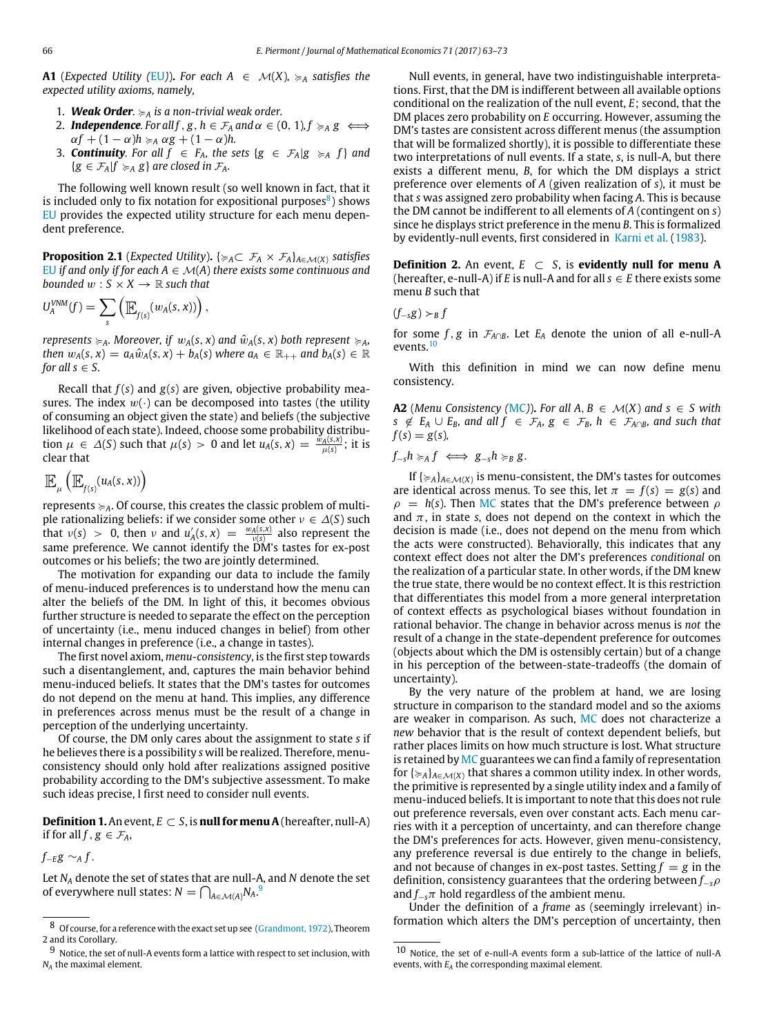<span id="page-3-1"></span>**A1** (*Expected Utility ([EU](#page-3-1))*). For each  $A \in \mathcal{M}(X)$ ,  $\succcurlyeq_A$  *satisfies the expected utility axioms, namely,*

- 1. *Weak Order.* ≽*<sup>A</sup> is a non-trivial weak order.*
- 2. **Independence**. For all  $f$ ,  $g$ ,  $h \in \mathcal{F}_A$  and  $\alpha \in (0, 1)$ ,  $f \succcurlyeq_A g \iff$  $\alpha f + (1 - \alpha)h \succcurlyeq_A \alpha g + (1 - \alpha)h$ .
- 3. **Continuity**. For all  $f \in F_A$ , the sets  $\{g \in \mathcal{F}_A | g \succ_{A} f\}$  and {*g* ∈ F*A*|*f* ≽*<sup>A</sup> g*} *are closed in* F*A.*

The following well known result (so well known in fact, that it is included only to fix notation for expositional purposes $^{\rm 8})$  $^{\rm 8})$  $^{\rm 8})$  shows [EU](#page-3-1) provides the expected utility structure for each menu dependent preference.

**Proposition 2.1** (*Expected Utility*). { $\succcurlyeq A \subset \mathcal{F}_A \times \mathcal{F}_A$ } $A \in \mathcal{M}(X)$  satisfies [EU](#page-3-1) if and only if for each  $A \in \mathcal{M}(A)$  there exists some continuous and *bounded*  $w : S \times X \rightarrow \mathbb{R}$  *such that* 

$$
U_A^{VNM}(f) = \sum_s \left( \mathbb{E}_{f(s)}(w_A(s,x)) \right),
$$

*represents*  $\succcurlyeq_A$ *. Moreover, if*  $w_A(s, x)$  *and*  $\hat{w}_A(s, x)$  *both represent*  $\succcurlyeq_A$ *, then*  $w_A(s, x) = a_A \hat{w}_A(s, x) + b_A(s)$  where  $a_A \in \mathbb{R}_{++}$  and  $b_A(s) \in \mathbb{R}$ *for all*  $s \in S$ *.* 

Recall that  $f(s)$  and  $g(s)$  are given, objective probability measures. The index  $w(\cdot)$  can be decomposed into tastes (the utility of consuming an object given the state) and beliefs (the subjective likelihood of each state). Indeed, choose some probability distribution  $\mu \in \Delta(S)$  such that  $\mu(s) > 0$  and let  $u_A(s, x) = \frac{\tilde{w}_A(s, x)}{\mu(s)}$ ; it is clear that

$$
\mathbb{E}_{\mu}\left(\mathbb{E}_{f(s)}(u_A(s,x))\right)
$$

represents ≽*A*. Of course, this creates the classic problem of multiple rationalizing beliefs: if we consider some other ν ∈ ∆(*S*) such that  $v(s) > 0$ , then v and  $u'_{A}(s, x) = \frac{w_{A}(s, x)}{v(s)}$  also represent the same preference. We cannot identify the DM's tastes for ex-post outcomes or his beliefs; the two are jointly determined.

The motivation for expanding our data to include the family of menu-induced preferences is to understand how the menu can alter the beliefs of the DM. In light of this, it becomes obvious further structure is needed to separate the effect on the perception of uncertainty (i.e., menu induced changes in belief) from other internal changes in preference (i.e., a change in tastes).

The first novel axiom, *menu-consistency*, is the first step towards such a disentanglement, and, captures the main behavior behind menu-induced beliefs. It states that the DM's tastes for outcomes do not depend on the menu at hand. This implies, any difference in preferences across menus must be the result of a change in perception of the underlying uncertainty.

Of course, the DM only cares about the assignment to state *s* if he believes there is a possibility *s* will be realized. Therefore, menuconsistency should only hold after realizations assigned positive probability according to the DM's subjective assessment. To make such ideas precise, I first need to consider null events.

**Definition 1.** An event,  $E \subset S$ , is **null for menu A** (hereafter, null-A) if for all  $f, g \in \mathcal{F}_A$ ,

$$
f_{-E}g\sim_A f.
$$

Let *N<sup>A</sup>* denote the set of states that are null-A, and *N* denote the set of everywhere null states:  $N = \bigcap_{A \in \mathcal{M}(A)} {N_A}^9$  $N = \bigcap_{A \in \mathcal{M}(A)} {N_A}^9$ 

Null events, in general, have two indistinguishable interpretations. First, that the DM is indifferent between all available options conditional on the realization of the null event, *E*; second, that the DM places zero probability on *E* occurring. However, assuming the DM's tastes are consistent across different menus (the assumption that will be formalized shortly), it is possible to differentiate these two interpretations of null events. If a state, *s*, is null-A, but there exists a different menu, *B*, for which the DM displays a strict preference over elements of *A* (given realization of *s*), it must be that *s* was assigned zero probability when facing *A*. This is because the DM cannot be indifferent to all elements of *A* (contingent on *s*) since he displays strict preference in the menu *B*. This is formalized by evidently-null events, first considered in [Karni](#page-10-10) [et](#page-10-10) [al.](#page-10-10) [\(1983\)](#page-10-10).

**Definition 2.** An event,  $E \subset S$ , is **evidently null for menu A** (hereafter, e-null-A) if *E* is null-A and for all  $s \in E$  there exists some menu *B* such that

$$
(f_{-s}g) \succ_B f
$$

for some  $f$ ,  $g$  in  $\mathcal{F}_{A \cap B}$ . Let  $E_A$  denote the union of all e-null-A events.[10](#page-3-4)

With this definition in mind we can now define menu consistency.

<span id="page-3-0"></span>**A2** (*Menu Consistency ([MC](#page-3-0))*). *For all A, B*  $\in$  *M(X) and s*  $\in$  *S with s* ∉  $E_A \cup E_B$ *, and all f* ∈  $\mathcal{F}_A$ *, g* ∈  $\mathcal{F}_B$ *, h* ∈  $\mathcal{F}_{A \cap B}$ *, and such that*  $f(s) = g(s)$ ,

$$
f_{-s}h \succcurlyeq_A f \iff g_{-s}h \succcurlyeq_B g.
$$

If  $\{\succcurlyeq_A\}_{A \in \mathcal{M}(X)}$  is menu-consistent, the DM's tastes for outcomes are identical across menus. To see this, let  $\pi = f(s) = g(s)$  and  $\rho = h(s)$ . Then [MC](#page-3-0) states that the DM's preference between  $\rho$ and  $\pi$ , in state *s*, does not depend on the context in which the decision is made (i.e., does not depend on the menu from which the acts were constructed). Behaviorally, this indicates that any context effect does not alter the DM's preferences *conditional* on the realization of a particular state. In other words, if the DM knew the true state, there would be no context effect. It is this restriction that differentiates this model from a more general interpretation of context effects as psychological biases without foundation in rational behavior. The change in behavior across menus is *not* the result of a change in the state-dependent preference for outcomes (objects about which the DM is ostensibly certain) but of a change in his perception of the between-state-tradeoffs (the domain of uncertainty).

By the very nature of the problem at hand, we are losing structure in comparison to the standard model and so the axioms are weaker in comparison. As such, [MC](#page-3-0) does not characterize a *new* behavior that is the result of context dependent beliefs, but rather places limits on how much structure is lost. What structure is retained by [MC](#page-3-0) guarantees we can find a family of representation for  $\{\succcurlyeq_A\}_{A \in \mathcal{M}(X)}$  that shares a common utility index. In other words, the primitive is represented by a single utility index and a family of menu-induced beliefs. It is important to note that this does not rule out preference reversals, even over constant acts. Each menu carries with it a perception of uncertainty, and can therefore change the DM's preferences for acts. However, given menu-consistency, any preference reversal is due entirely to the change in beliefs, and not because of changes in ex-post tastes. Setting  $f = g$  in the definition, consistency guarantees that the ordering between *f*−*s*ρ and *f*−*s*π hold regardless of the ambient menu.

Under the definition of a *frame* as (seemingly irrelevant) information which alters the DM's perception of uncertainty, then

<span id="page-3-2"></span><sup>8</sup> Of course, for a reference with the exact set up see [\(Grandmont,](#page-10-9) [1972\)](#page-10-9), Theorem 2 and its Corollary.

<span id="page-3-3"></span> $9$  Notice, the set of null-A events form a lattice with respect to set inclusion, with *N<sup>A</sup>* the maximal element.

<span id="page-3-4"></span><sup>10</sup> Notice, the set of e-null-A events form a sub-lattice of the lattice of null-A events, with *E<sup>A</sup>* the corresponding maximal element.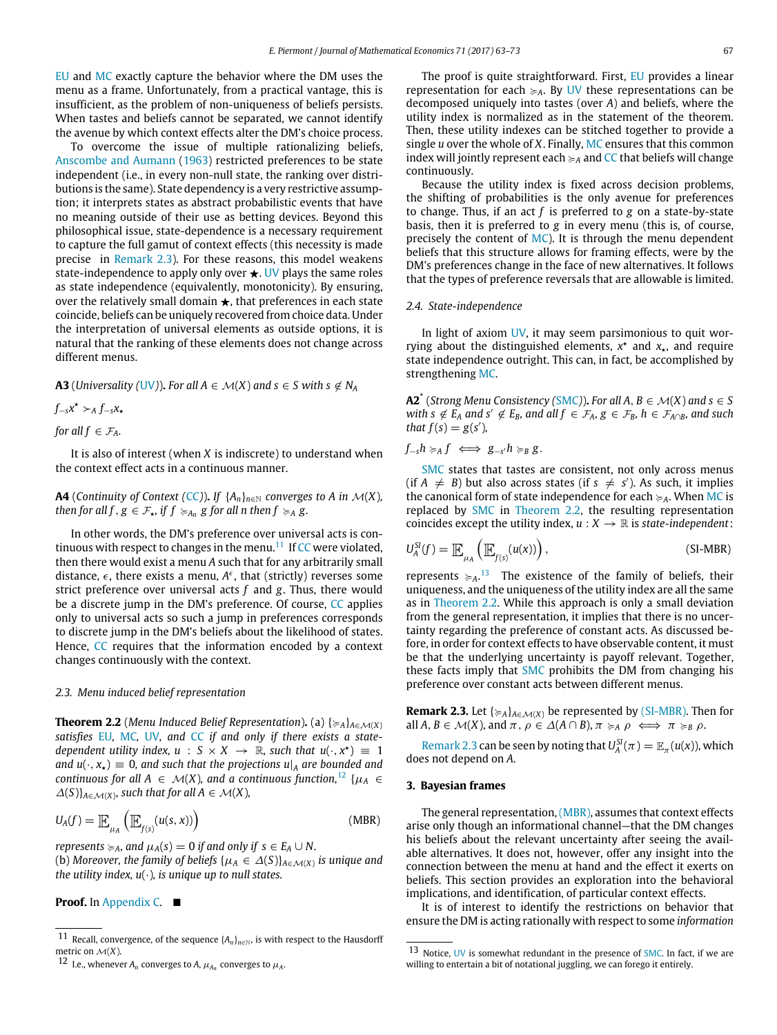[EU](#page-3-1) and [MC](#page-3-0) exactly capture the behavior where the DM uses the menu as a frame. Unfortunately, from a practical vantage, this is insufficient, as the problem of non-uniqueness of beliefs persists. When tastes and beliefs cannot be separated, we cannot identify the avenue by which context effects alter the DM's choice process.

To overcome the issue of multiple rationalizing beliefs, [Anscombe](#page-10-6) [and](#page-10-6) [Aumann](#page-10-6) [\(1963\)](#page-10-6) restricted preferences to be state independent (i.e., in every non-null state, the ranking over distributions is the same). State dependency is a very restrictive assumption; it interprets states as abstract probabilistic events that have no meaning outside of their use as betting devices. Beyond this philosophical issue, state-dependence is a necessary requirement to capture the full gamut of context effects (this necessity is made precise in [Remark 2.3\)](#page-4-4). For these reasons, this model weakens state-independence to apply only over  $\star$ . [UV](#page-4-5) plays the same roles as state independence (equivalently, monotonicity). By ensuring, over the relatively small domain  $\star$ , that preferences in each state coincide, beliefs can be uniquely recovered from choice data. Under the interpretation of universal elements as outside options, it is natural that the ranking of these elements does not change across different menus.

<span id="page-4-5"></span>**A3** (*Universality ([UV](#page-4-5)*)). *For all A*  $\in$  *M*(*X*) *and s*  $\in$  *S with s*  $\notin$  *N<sub>A</sub>* 

$$
f_{-s}x^{\star} >_A f_{-s}x_{\star}
$$

for all 
$$
f \in \mathcal{F}_A
$$
.

It is also of interest (when *X* is indiscrete) to understand when the context effect acts in a continuous manner.

<span id="page-4-0"></span>**A4** (*Continuity of Context ([CC](#page-4-0))*). *If*  $\{A_n\}_{n\in\mathbb{N}}$  *converges to A in*  $\mathcal{M}(X)$ *, then for all f* ,  $g \in \mathcal{F}_{\star}$ , if  $f \succcurlyeq_{A_n} g$  for all n then  $f \succcurlyeq_A g$ .

In other words, the DM's preference over universal acts is con-tinuous with respect to changes in the menu.<sup>[11](#page-4-6)</sup> If [CC](#page-4-0) were violated, then there would exist a menu *A* such that for any arbitrarily small distance,  $\epsilon$ , there exists a menu,  $A^{\epsilon}$ , that (strictly) reverses some strict preference over universal acts *f* and *g*. Thus, there would be a discrete jump in the DM's preference. Of course, [CC](#page-4-0) applies only to universal acts so such a jump in preferences corresponds to discrete jump in the DM's beliefs about the likelihood of states. Hence, [CC](#page-4-0) requires that the information encoded by a context changes continuously with the context.

#### <span id="page-4-1"></span>*2.3. Menu induced belief representation*

<span id="page-4-9"></span>**Theorem 2.2** (*Menu Induced Belief Representation*). (a)  $\{\geq A\}_{A \in \mathcal{M}(X)}$ *satisfies* [EU](#page-3-1)*,* [MC](#page-3-0)*,* [UV](#page-4-5)*, and* [CC](#page-4-0) *if and only if there exists a statedependent utility index, u* :  $S \times X \rightarrow \mathbb{R}$ *, such that*  $u(\cdot, x^*) \equiv 1$ *and*  $u(\cdot, x_{\star}) \equiv 0$ , and such that the projections  $u|_A$  are bounded and *continuous for all*  $A \in \mathcal{M}(X)$ *, and a continuous function*,<sup>[12](#page-4-7)</sup> { $\mu_A \in$  $\Delta(S)$ <sub>*A*∈ $\mathcal{M}(X)$ </sub>, such that for all  $A \in \mathcal{M}(X)$ ,

<span id="page-4-12"></span>
$$
U_A(f) = \mathbb{E}_{\mu_A} \left( \mathbb{E}_{f(s)}(u(s, x)) \right) \tag{MBR}
$$

*represents*  $\succcurlyeq_A$ *, and*  $\mu_A(s) = 0$  *if and only if*  $s \in E_A \cup N$ *.* 

(b) *Moreover, the family of beliefs*  $\{\mu_A \in \Delta(S)\}_{A \in \mathcal{M}(X)}$  is unique and *the utility index, u*(·)*, is unique up to null states.*

# **Proof.** In [Appendix C.](#page-8-1) ■

The proof is quite straightforward. First, [EU](#page-3-1) provides a linear representation for each  $\succcurlyeq_A$ . By [UV](#page-4-5) these representations can be decomposed uniquely into tastes (over *A*) and beliefs, where the utility index is normalized as in the statement of the theorem. Then, these utility indexes can be stitched together to provide a single *u* over the whole of *X*. Finally, [MC](#page-3-0) ensures that this common index will jointly represent each  $\succeq_A$  and [CC](#page-4-0) that beliefs will change continuously.

Because the utility index is fixed across decision problems, the shifting of probabilities is the only avenue for preferences to change. Thus, if an act *f* is preferred to *g* on a state-by-state basis, then it is preferred to *g* in every menu (this is, of course, precisely the content of [MC](#page-3-0)). It is through the menu dependent beliefs that this structure allows for framing effects, were by the DM's preferences change in the face of new alternatives. It follows that the types of preference reversals that are allowable is limited.

#### <span id="page-4-2"></span>*2.4. State-independence*

In light of axiom [UV](#page-4-5), it may seem parsimonious to quit worrying about the distinguished elements,  $x^*$  and  $x_*$ , and require state independence outright. This can, in fact, be accomplished by strengthening [MC](#page-3-0).

<span id="page-4-8"></span> $A2^*$  (*Strong Menu Consistency ([SMC](#page-4-8))*). *For all A*,  $B \in \mathcal{M}(X)$  *and s*  $\in$  *S with*  $s \notin E_A$  *and*  $s' \notin E_B$ *, and all*  $f \in \mathcal{F}_A$ *,*  $g \in \mathcal{F}_B$ *,*  $h \in \mathcal{F}_{A \cap B}$ *, and such that*  $f(s) = g(s')$ ,

$$
f_{-s}h \succcurlyeq_A f \iff g_{-s'}h \succcurlyeq_B g.
$$

[SMC](#page-4-8) states that tastes are consistent, not only across menus (if  $A \neq B$ ) but also across states (if  $s \neq s'$ ). As such, it implies the canonical form of state independence for each  $\succcurlyeq_A$ . When [MC](#page-3-0) is replaced by [SMC](#page-4-8) in [Theorem 2.2,](#page-4-9) the resulting representation coincides except the utility index,  $u : X \rightarrow \mathbb{R}$  is *state-independent*:

<span id="page-4-11"></span>
$$
U_A^{SI}(f) = \mathbb{E}_{\mu_A} \left( \mathbb{E}_{f(s)}(u(x)) \right), \qquad (SI-MBR)
$$

represents  $\succcurlyeq A$ .<sup>[13](#page-4-10)</sup> The existence of the family of beliefs, their uniqueness, and the uniqueness of the utility index are all the same as in [Theorem 2.2.](#page-4-9) While this approach is only a small deviation from the general representation, it implies that there is no uncertainty regarding the preference of constant acts. As discussed before, in order for context effects to have observable content, it must be that the underlying uncertainty is payoff relevant. Together, these facts imply that [SMC](#page-4-8) prohibits the DM from changing his preference over constant acts between different menus.

<span id="page-4-4"></span>**Remark 2.3.** Let  $\{\succcurlyeq_A\}_{A \in \mathcal{M}(X)}$  be represented by ([SI-MBR](#page-4-11)). Then for all  $A, B \in \mathcal{M}(X)$ , and  $\pi, \rho \in \Delta(A \cap B)$ ,  $\pi \succcurlyeq_A \rho \iff \pi \succcurlyeq_B \rho$ .

[Remark 2.3](#page-4-4) can be seen by noting that  $U_A^{SI}(\pi) = \mathbb{E}_{\pi}(u(x))$ , which does not depend on *A*.

#### <span id="page-4-3"></span>**3. Bayesian frames**

The general representation, ([MBR](#page-4-12)), assumes that context effects arise only though an informational channel—that the DM changes his beliefs about the relevant uncertainty after seeing the available alternatives. It does not, however, offer any insight into the connection between the menu at hand and the effect it exerts on beliefs. This section provides an exploration into the behavioral implications, and identification, of particular context effects.

It is of interest to identify the restrictions on behavior that ensure the DM is acting rationally with respect to some *information*

<span id="page-4-6"></span><sup>11</sup> Recall, convergence, of the sequence  $\{A_n\}_{n\in\mathbb{N}}$ , is with respect to the Hausdorff metric on  $\mathcal{M}(X)$ .

<span id="page-4-7"></span><sup>12</sup> I.e., whenever  $A_n$  converges to  $A_n$ ,  $\mu_{A_n}$  converges to  $\mu_A$ .

<span id="page-4-10"></span><sup>13</sup> Notice, [UV](#page-4-5) is somewhat redundant in the presence of [SMC](#page-4-8). In fact, if we are willing to entertain a bit of notational juggling, we can forego it entirely.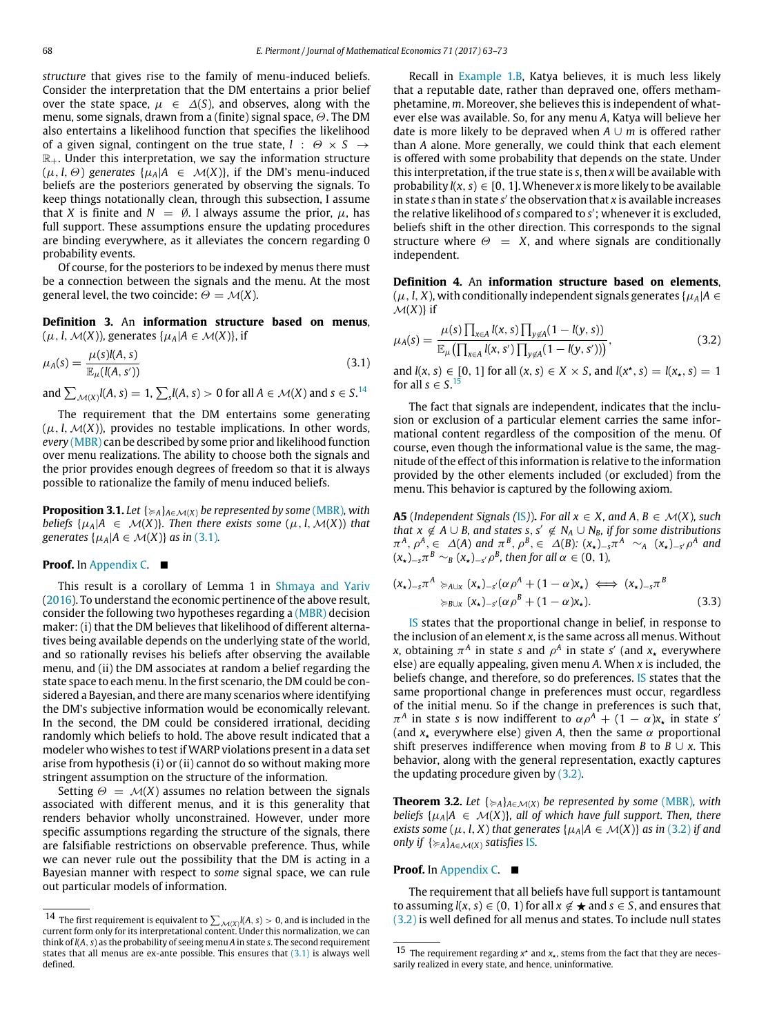*structure* that gives rise to the family of menu-induced beliefs. Consider the interpretation that the DM entertains a prior belief over the state space,  $\mu \in \Delta(S)$ , and observes, along with the menu, some signals, drawn from a (finite) signal space, Θ. The DM also entertains a likelihood function that specifies the likelihood of a given signal, contingent on the true state,  $l : \Theta \times S \rightarrow$  $\mathbb{R}_+$ . Under this interpretation, we say the information structure  $(\mu, l, \Theta)$  generates  $\{\mu_A | A \in \mathcal{M}(X)\}\)$ , if the DM's menu-induced beliefs are the posteriors generated by observing the signals. To keep things notationally clean, through this subsection, I assume that *X* is finite and  $N = \emptyset$ . I always assume the prior,  $\mu$ , has full support. These assumptions ensure the updating procedures are binding everywhere, as it alleviates the concern regarding 0 probability events.

Of course, for the posteriors to be indexed by menus there must be a connection between the signals and the menu. At the most general level, the two coincide:  $\Theta = \mathcal{M}(X)$ .

**Definition 3.** An **information structure based on menus**,  $(\mu, l, \mathcal{M}(X))$ , generates  $\{\mu_A | A \in \mathcal{M}(X)\}$ , if

<span id="page-5-1"></span>
$$
\mu_A(s) = \frac{\mu(s)l(A,s)}{\mathbb{E}_{\mu}(l(A,s'))} \tag{3.1}
$$

and  $\sum_{\mathcal{M}(X)}$ l(A, s)  $= 1$ ,  $\sum_{s}$ l(A, s)  $> 0$  for all  $A \in \mathcal{M}(X)$  and  $s \in S$ .  $^{14}$  $^{14}$  $^{14}$ 

The requirement that the DM entertains some generating  $(\mu, \mathit{l}, \mathcal{M}(X))$ , provides no testable implications. In other words, *every* ([MBR](#page-4-12)) can be described by some prior and likelihood function over menu realizations. The ability to choose both the signals and the prior provides enough degrees of freedom so that it is always possible to rationalize the family of menu induced beliefs.

**Proposition 3.1.** Let  $\{\succcurlyeq_A\}_{A \in \mathcal{M}(X)}$  be represented by some ([MBR](#page-4-12)), with *beliefs*  $\{\mu_A | A \in \mathcal{M}(X)\}$ *. Then there exists some*  $(\mu, I, \mathcal{M}(X))$  *that generates*  $\{\mu_A | A \in \mathcal{M}(X)\}\$ as in [\(3.1\)](#page-5-1)*.* 

# **Proof.** In [Appendix C.](#page-8-1) ■

This result is a corollary of Lemma 1 in [Shmaya](#page-10-8) [and](#page-10-8) [Yariv](#page-10-8) [\(2016\)](#page-10-8). To understand the economic pertinence of the above result, consider the following two hypotheses regarding a ([MBR](#page-4-12)) decision maker: (i) that the DM believes that likelihood of different alternatives being available depends on the underlying state of the world, and so rationally revises his beliefs after observing the available menu, and (ii) the DM associates at random a belief regarding the state space to each menu. In the first scenario, the DM could be considered a Bayesian, and there are many scenarios where identifying the DM's subjective information would be economically relevant. In the second, the DM could be considered irrational, deciding randomly which beliefs to hold. The above result indicated that a modeler who wishes to test if WARP violations present in a data set arise from hypothesis (i) or (ii) cannot do so without making more stringent assumption on the structure of the information.

Setting  $\Theta = \mathcal{M}(X)$  assumes no relation between the signals associated with different menus, and it is this generality that renders behavior wholly unconstrained. However, under more specific assumptions regarding the structure of the signals, there are falsifiable restrictions on observable preference. Thus, while we can never rule out the possibility that the DM is acting in a Bayesian manner with respect to *some* signal space, we can rule out particular models of information.

Recall in [Example 1.B,](#page-1-5) Katya believes, it is much less likely that a reputable date, rather than depraved one, offers methamphetamine, *m*. Moreover, she believes this is independent of whatever else was available. So, for any menu *A*, Katya will believe her date is more likely to be depraved when *A* ∪ *m* is offered rather than *A* alone. More generally, we could think that each element is offered with some probability that depends on the state. Under this interpretation, if the true state is *s*, then *x* will be available with probability  $l(x, s) \in [0, 1]$ . Whenever *x* is more likely to be available in state *s* than in state *s* ′ the observation that *x* is available increases the relative likelihood of *s* compared to *s* ′ ; whenever it is excluded, beliefs shift in the other direction. This corresponds to the signal structure where  $\Theta = X$ , and where signals are conditionally independent.

**Definition 4.** An **information structure based on elements**,  $(\mu, l, X)$ , with conditionally independent signals generates  $\{\mu_A | A \in$  $\mathcal{M}(X)$ } if

<span id="page-5-4"></span>
$$
\mu_{A}(s) = \frac{\mu(s) \prod_{x \in A} l(x, s) \prod_{y \notin A} (1 - l(y, s))}{\mathbb{E}_{\mu}(\prod_{x \in A} l(x, s') \prod_{y \notin A} (1 - l(y, s')))},
$$
\n(3.2)

and  $l(x, s) \in [0, 1]$  for all  $(x, s) \in X \times S$ , and  $l(x^*, s) = l(x_*, s) = 1$ for all  $s \in S$ <sup>[15](#page-5-2)</sup>

The fact that signals are independent, indicates that the inclusion or exclusion of a particular element carries the same informational content regardless of the composition of the menu. Of course, even though the informational value is the same, the magnitude of the effect of this information is relative to the information provided by the other elements included (or excluded) from the menu. This behavior is captured by the following axiom.

<span id="page-5-3"></span>**A5** (*Independent Signals ([IS](#page-5-3))*). *For all*  $x \in X$ *, and*  $A, B \in M(X)$ *, such that*  $x \notin A$  ∪ *B*, and states *s*,  $s' \notin N_A$  ∪  $N_B$ , *if for some distributions*  $\pi^A$ ,  $\rho^A$ ,  $\in \Delta(A)$  and  $\pi^B$ ,  $\rho^B$ ,  $\in \Delta(B)$ :  $(x_\star)_{-s}\pi^A \sim_A (x_\star)_{-s'}\rho^A$  and  $(\mathbf{x}_{\star})$ <sub>−</sub><sub>s</sub> $\pi^{B}$  ∼<sub>B</sub> ( $\mathbf{x}_{\star}$ )<sub>−s</sub><sup>*,*</sup> $\rho^{B}$ , then for all  $\alpha \in (0, 1)$ ,

$$
\begin{aligned} (x_{\star})_{-s}\pi^{A} &\succ_{A\cup x} (x_{\star})_{-s'}(\alpha\rho^{A} + (1-\alpha)x_{\star}) \iff (x_{\star})_{-s}\pi^{B} \\ &\succ_{B\cup x} (x_{\star})_{-s'}(\alpha\rho^{B} + (1-\alpha)x_{\star}). \end{aligned} \tag{3.3}
$$

[IS](#page-5-3) states that the proportional change in belief, in response to the inclusion of an element *x*, is the same across all menus. Without *x*, obtaining  $\pi^A$  in state *s* and  $\rho^A$  in state *s'* (and  $x_*$  everywhere else) are equally appealing, given menu *A*. When *x* is included, the beliefs change, and therefore, so do preferences. [IS](#page-5-3) states that the same proportional change in preferences must occur, regardless of the initial menu. So if the change in preferences is such that,  $\pi^A$  in state *s* is now indifferent to  $\alpha \rho^A + (1 - \alpha)x_x$  in state *s'* (and  $x_{\star}$  everywhere else) given *A*, then the same  $\alpha$  proportional shift preserves indifference when moving from *B* to *B*  $\cup$  *x*. This behavior, along with the general representation, exactly captures the updating procedure given by  $(3.2)$ .

**Theorem 3.2.** *Let*  $\{\succcurlyeq_A\}_{A \in \mathcal{M}(X)}$  *be represented by some* ([MBR](#page-4-12))*, with beliefs*  $\{\mu_A | A \in \mathcal{M}(X)\}$ *, all of which have full support. Then, there exists some*  $(\mu, l, X)$  *that generates*  $\{\mu_A | A \in \mathcal{M}(X)\}\$ as *in* [\(3.2\)](#page-5-4) *if and only if*  $\{\succcurlyeq_A\}_{A \in \mathcal{M}(X)}$  *satisfies* [IS](#page-5-3).

#### **Proof.** In [Appendix C.](#page-8-1) ■

The requirement that all beliefs have full support is tantamount to assuming  $l(x, s) \in (0, 1)$  for all  $x \notin \star$  and  $s \in S$ , and ensures that [\(3.2\)](#page-5-4) is well defined for all menus and states. To include null states

<span id="page-5-0"></span><sup>&</sup>lt;sup>14</sup> The first requirement is equivalent to  $\sum_{\mathcal{M}(X)} l(A, s) > 0$ , and is included in the current form only for its interpretational content. Under this normalization, we can think of *l*(*A*, *s*) as the probability of seeing menu *A* in state *s*. The second requirement states that all menus are ex-ante possible. This ensures that  $(3.1)$  is always well defined.

<span id="page-5-2"></span><sup>&</sup>lt;sup>15</sup> The requirement regarding  $x^*$  and  $x_*$ , stems from the fact that they are necessarily realized in every state, and hence, uninformative.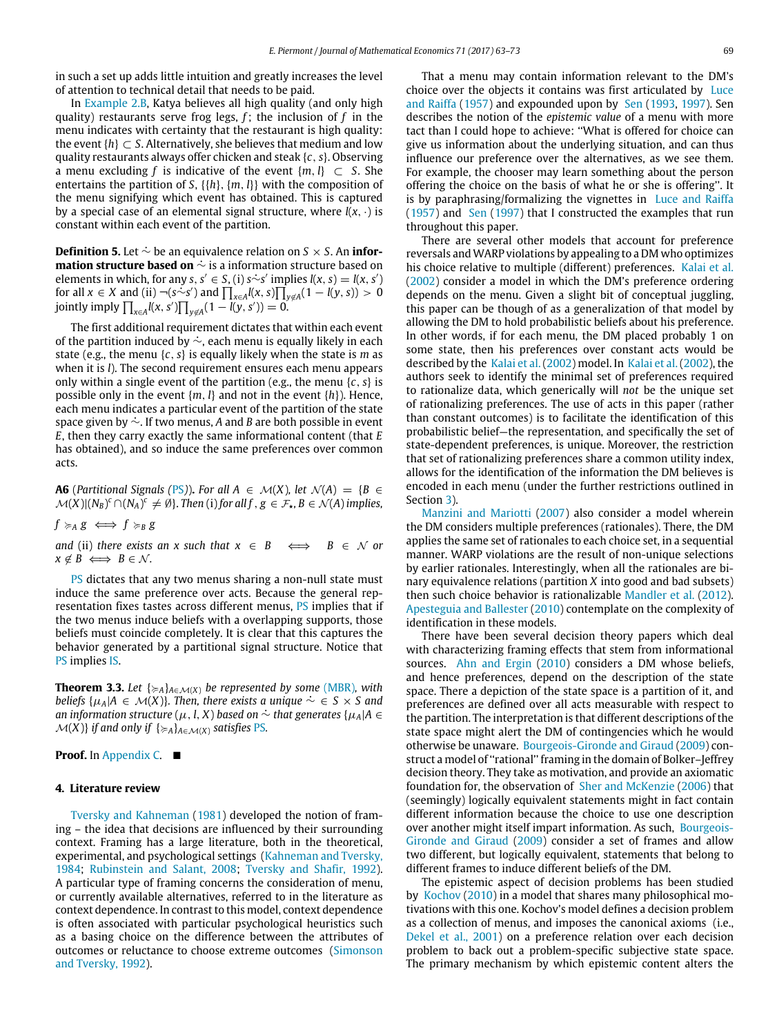in such a set up adds little intuition and greatly increases the level of attention to technical detail that needs to be paid.

In [Example 2.B,](#page-1-4) Katya believes all high quality (and only high quality) restaurants serve frog legs,  $f$ ; the inclusion of  $f$  in the menu indicates with certainty that the restaurant is high quality: the event  ${h} \subset S$ . Alternatively, she believes that medium and low quality restaurants always offer chicken and steak {*c*, *s*}. Observing a menu excluding *f* is indicative of the event {*m*, *l*} ⊂ *S*. She entertains the partition of *S*,  $\{\{h\}, \{m, l\}\}\$  with the composition of the menu signifying which event has obtained. This is captured by a special case of an elemental signal structure, where  $l(x, \cdot)$  is constant within each event of the partition.

**Definition 5.** Let  $\dot{\sim}$  be an equivalence relation on *S* × *S*. An **information structure based on**  $\dot{\sim}$  is a information structure based on elements in which, for any *s*, *s*<sup> $′$ </sup> ∈ *S*, (i) *s* ∼̀*s*<sup> $′$ </sup> implies *l*(*x*, *s*) = *l*(*x*, *s*<sup> $′$ </sup>)  $\int \int \int \int f(x, s) \, dx \leq C$  and  $\int \int \int \int x \in A}$  *l*(*x*, *s*)  $\int \int \int y \notin A$  (1 − *l*(*y*, *s*)) > 0  $\int \int \int_{x \in A}$  *l*(*x*, *s'*) $\prod_{y \notin A}$  (1 − *l*(*y*, *s'*)) = 0.

The first additional requirement dictates that within each event of the partition induced by  $\dot{\sim}$ , each menu is equally likely in each state (e.g., the menu {*c*, *s*} is equally likely when the state is *m* as when it is *l*). The second requirement ensures each menu appears only within a single event of the partition (e.g., the menu {*c*, *s*} is possible only in the event {*m*, *l*} and not in the event {*h*}). Hence, each menu indicates a particular event of the partition of the state space given by  $\sim$ . If two menus, A and B are both possible in event *E*, then they carry exactly the same informational content (that *E* has obtained), and so induce the same preferences over common acts.

<span id="page-6-1"></span>**A6** (*Partitional Signals ([PS](#page-6-1))*). *For all A*  $\in$  *M(X)*, *let*  $\mathcal{N}(A) = \{B \in$  $\mathcal{M}(X)| (N_B)^c \cap (N_A)^c \neq \emptyset$ . *Then* (i) for all  $f, g \in \mathcal{F}_\star$ ,  $B \in \mathcal{N}(A)$  implies,

*f* ≽*A*  $g$   $\Longleftrightarrow$  *f* ≽*B*  $g$ 

*and* (ii) *there exists an x such that*  $x \in B \iff B \in N$  *or*  $x \notin B \iff B \in \mathcal{N}$ *.* 

[PS](#page-6-1) dictates that any two menus sharing a non-null state must induce the same preference over acts. Because the general representation fixes tastes across different menus, [PS](#page-6-1) implies that if the two menus induce beliefs with a overlapping supports, those beliefs must coincide completely. It is clear that this captures the behavior generated by a partitional signal structure. Notice that [PS](#page-6-1) implies [IS](#page-5-3).

**Theorem 3.3.** *Let*  $\{\succcurlyeq_A\}_{A \in \mathcal{M}(X)}$  *be represented by some* ([MBR](#page-4-12))*, with beliefs*  $\{\mu_A | A \in \mathcal{M}(X)\}\$ . Then, there exists a unique  $\sim \epsilon S \times S$  and *an information structure*  $(\mu, l, X)$  *based on*  $\sim$  *that generates*  $\{\mu_A | A \in$  $\mathcal{M}(X)$ } *if and only if*  $\{\succcurlyeq_A\}_{A \in \mathcal{M}(X)}$  *satisfies* [PS](#page-6-1).

# **Proof.** In [Appendix C.](#page-8-1) ■

#### <span id="page-6-0"></span>**4. Literature review**

[Tversky](#page-10-11) [and](#page-10-11) [Kahneman](#page-10-11) [\(1981\)](#page-10-11) developed the notion of framing – the idea that decisions are influenced by their surrounding context. Framing has a large literature, both in the theoretical, experimental, and psychological settings [\(Kahneman](#page-10-0) [and](#page-10-0) [Tversky,](#page-10-0) [1984;](#page-10-0) [Rubinstein](#page-10-12) [and](#page-10-12) [Salant,](#page-10-12) [2008;](#page-10-12) [Tversky](#page-10-13) [and](#page-10-13) [Shafir,](#page-10-13) [1992\)](#page-10-13). A particular type of framing concerns the consideration of menu, or currently available alternatives, referred to in the literature as context dependence. In contrast to this model, context dependence is often associated with particular psychological heuristics such as a basing choice on the difference between the attributes of outcomes or reluctance to choose extreme outcomes [\(Simonson](#page-10-1) [and](#page-10-1) [Tversky,](#page-10-1) [1992\)](#page-10-1).

That a menu may contain information relevant to the DM's choice over the objects it contains was first articulated by [Luce](#page-10-4) [and](#page-10-4) [Raiffa](#page-10-4) [\(1957\)](#page-10-4) and expounded upon by [Sen](#page-10-2) [\(1993,](#page-10-2) [1997\)](#page-10-2). Sen describes the notion of the *epistemic value* of a menu with more tact than I could hope to achieve: ''What is offered for choice can give us information about the underlying situation, and can thus influence our preference over the alternatives, as we see them. For example, the chooser may learn something about the person offering the choice on the basis of what he or she is offering''. It is by paraphrasing/formalizing the vignettes in [Luce](#page-10-4) [and](#page-10-4) [Raiffa](#page-10-4) [\(1957\)](#page-10-4) and [Sen](#page-10-5) [\(1997\)](#page-10-5) that I constructed the examples that run throughout this paper.

There are several other models that account for preference reversals andWARP violations by appealing to a DM who optimizes his choice relative to multiple (different) preferences. [Kalai](#page-10-7) [et](#page-10-7) [al.](#page-10-7) [\(2002\)](#page-10-7) consider a model in which the DM's preference ordering depends on the menu. Given a slight bit of conceptual juggling, this paper can be though of as a generalization of that model by allowing the DM to hold probabilistic beliefs about his preference. In other words, if for each menu, the DM placed probably 1 on some state, then his preferences over constant acts would be described by the [Kalai](#page-10-7) [et](#page-10-7) [al.](#page-10-7) [\(2002\)](#page-10-7) model. In [Kalai](#page-10-7) [et](#page-10-7) [al.](#page-10-7) [\(2002\)](#page-10-7), the authors seek to identify the minimal set of preferences required to rationalize data, which generically will *not* be the unique set of rationalizing preferences. The use of acts in this paper (rather than constant outcomes) is to facilitate the identification of this probabilistic belief—the representation, and specifically the set of state-dependent preferences, is unique. Moreover, the restriction that set of rationalizing preferences share a common utility index, allows for the identification of the information the DM believes is encoded in each menu (under the further restrictions outlined in Section [3\)](#page-4-3).

[Manzini](#page-10-14) [and](#page-10-14) [Mariotti](#page-10-14) [\(2007\)](#page-10-14) also consider a model wherein the DM considers multiple preferences (rationales). There, the DM applies the same set of rationales to each choice set, in a sequential manner. WARP violations are the result of non-unique selections by earlier rationales. Interestingly, when all the rationales are binary equivalence relations (partition *X* into good and bad subsets) then such choice behavior is rationalizable [Mandler](#page-10-15) [et](#page-10-15) [al.](#page-10-15) [\(2012\)](#page-10-15). [Apesteguia](#page-10-16) [and](#page-10-16) [Ballester](#page-10-16) [\(2010\)](#page-10-16) contemplate on the complexity of identification in these models.

There have been several decision theory papers which deal with characterizing framing effects that stem from informational sources. [Ahn](#page-10-17) [and](#page-10-17) [Ergin](#page-10-17) [\(2010\)](#page-10-17) considers a DM whose beliefs, and hence preferences, depend on the description of the state space. There a depiction of the state space is a partition of it, and preferences are defined over all acts measurable with respect to the partition. The interpretation is that different descriptions of the state space might alert the DM of contingencies which he would otherwise be unaware. [Bourgeois-Gironde](#page-10-18) [and](#page-10-18) [Giraud](#page-10-18) [\(2009\)](#page-10-18) construct a model of ''rational'' framing in the domain of Bolker–Jeffrey decision theory. They take as motivation, and provide an axiomatic foundation for, the observation of [Sher](#page-10-19) [and](#page-10-19) [McKenzie](#page-10-19) [\(2006\)](#page-10-19) that (seemingly) logically equivalent statements might in fact contain different information because the choice to use one description [o](#page-10-18)ver another might itself impart information. As such, [Bourgeois-](#page-10-18)[Gironde](#page-10-18) [and](#page-10-18) [Giraud](#page-10-18) [\(2009\)](#page-10-18) consider a set of frames and allow two different, but logically equivalent, statements that belong to different frames to induce different beliefs of the DM.

The epistemic aspect of decision problems has been studied by [Kochov](#page-10-20) [\(2010\)](#page-10-20) in a model that shares many philosophical motivations with this one. Kochov's model defines a decision problem as a collection of menus, and imposes the canonical axioms (i.e., [Dekel](#page-10-21) [et](#page-10-21) [al.,](#page-10-21) [2001\)](#page-10-21) on a preference relation over each decision problem to back out a problem-specific subjective state space. The primary mechanism by which epistemic content alters the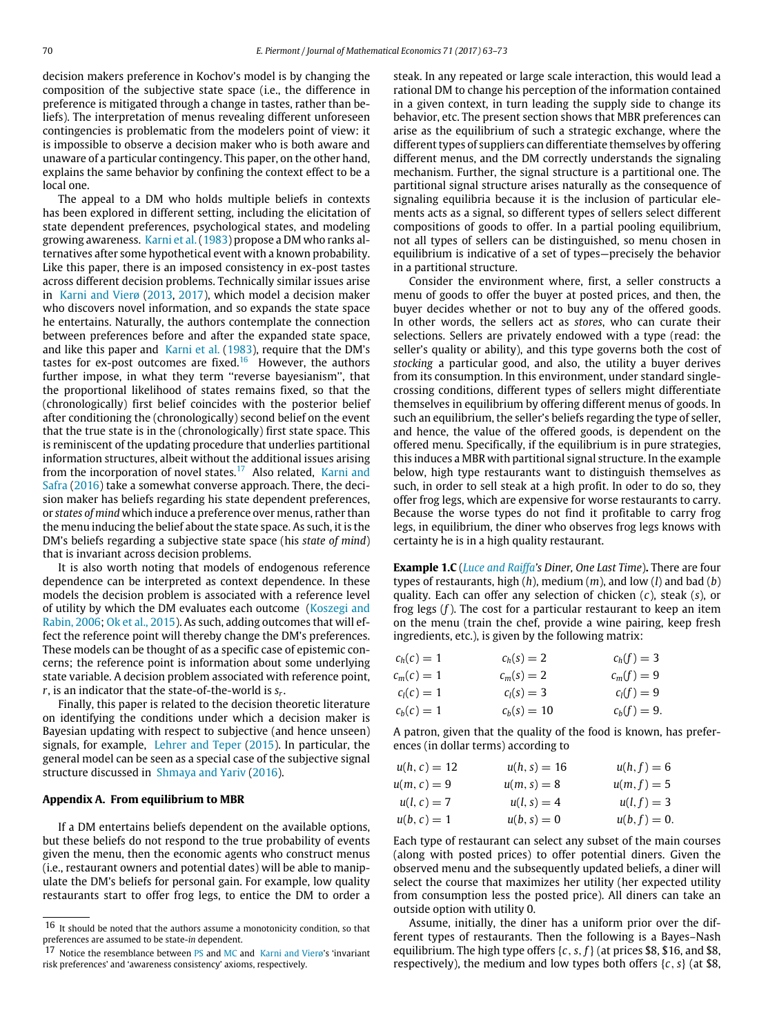decision makers preference in Kochov's model is by changing the composition of the subjective state space (i.e., the difference in preference is mitigated through a change in tastes, rather than beliefs). The interpretation of menus revealing different unforeseen contingencies is problematic from the modelers point of view: it is impossible to observe a decision maker who is both aware and unaware of a particular contingency. This paper, on the other hand, explains the same behavior by confining the context effect to be a local one.

The appeal to a DM who holds multiple beliefs in contexts has been explored in different setting, including the elicitation of state dependent preferences, psychological states, and modeling growing awareness. [Karni](#page-10-10) [et](#page-10-10) [al.\(1983\)](#page-10-10) propose a DM who ranks alternatives after some hypothetical event with a known probability. Like this paper, there is an imposed consistency in ex-post tastes across different decision problems. Technically similar issues arise in [Karni](#page-10-22) [and](#page-10-22) [Vierø](#page-10-22) [\(2013,](#page-10-22) [2017\)](#page-10-22), which model a decision maker who discovers novel information, and so expands the state space he entertains. Naturally, the authors contemplate the connection between preferences before and after the expanded state space, and like this paper and [Karni](#page-10-10) [et](#page-10-10) [al.](#page-10-10) [\(1983\)](#page-10-10), require that the DM's tastes for ex-post outcomes are fixed.<sup>[16](#page-7-1)</sup> However, the authors further impose, in what they term ''reverse bayesianism'', that the proportional likelihood of states remains fixed, so that the (chronologically) first belief coincides with the posterior belief after conditioning the (chronologically) second belief on the event that the true state is in the (chronologically) first state space. This is reminiscent of the updating procedure that underlies partitional information structures, albeit without the additional issues arising from the incorporation of novel states.<sup>[17](#page-7-2)</sup> Also related, [Karni](#page-10-23) [and](#page-10-23) [Safra](#page-10-23) [\(2016\)](#page-10-23) take a somewhat converse approach. There, the decision maker has beliefs regarding his state dependent preferences, or *states of mind* which induce a preference over menus, rather than the menu inducing the belief about the state space. As such, it is the DM's beliefs regarding a subjective state space (his *state of mind*) that is invariant across decision problems.

It is also worth noting that models of endogenous reference dependence can be interpreted as context dependence. In these models the decision problem is associated with a reference level of utility by which the DM evaluates each outcome [\(Koszegi](#page-10-24) [and](#page-10-24) [Rabin,](#page-10-24) [2006;](#page-10-24) [Ok](#page-10-25) [et](#page-10-25) [al.,](#page-10-25) [2015\)](#page-10-25). As such, adding outcomes that will effect the reference point will thereby change the DM's preferences. These models can be thought of as a specific case of epistemic concerns; the reference point is information about some underlying state variable. A decision problem associated with reference point, *r*, is an indicator that the state-of-the-world is *s<sup>r</sup>* .

Finally, this paper is related to the decision theoretic literature on identifying the conditions under which a decision maker is Bayesian updating with respect to subjective (and hence unseen) signals, for example, [Lehrer](#page-10-26) [and](#page-10-26) [Teper](#page-10-26) [\(2015\)](#page-10-26). In particular, the general model can be seen as a special case of the subjective signal structure discussed in [Shmaya](#page-10-8) [and](#page-10-8) [Yariv](#page-10-8) [\(2016\)](#page-10-8).

#### <span id="page-7-0"></span>**Appendix A. From equilibrium to MBR**

If a DM entertains beliefs dependent on the available options, but these beliefs do not respond to the true probability of events given the menu, then the economic agents who construct menus (i.e., restaurant owners and potential dates) will be able to manipulate the DM's beliefs for personal gain. For example, low quality restaurants start to offer frog legs, to entice the DM to order a steak. In any repeated or large scale interaction, this would lead a rational DM to change his perception of the information contained in a given context, in turn leading the supply side to change its behavior, etc. The present section shows that MBR preferences can arise as the equilibrium of such a strategic exchange, where the different types of suppliers can differentiate themselves by offering different menus, and the DM correctly understands the signaling mechanism. Further, the signal structure is a partitional one. The partitional signal structure arises naturally as the consequence of signaling equilibria because it is the inclusion of particular elements acts as a signal, so different types of sellers select different compositions of goods to offer. In a partial pooling equilibrium, not all types of sellers can be distinguished, so menu chosen in equilibrium is indicative of a set of types—precisely the behavior in a partitional structure.

Consider the environment where, first, a seller constructs a menu of goods to offer the buyer at posted prices, and then, the buyer decides whether or not to buy any of the offered goods. In other words, the sellers act as *stores*, who can curate their selections. Sellers are privately endowed with a type (read: the seller's quality or ability), and this type governs both the cost of *stocking* a particular good, and also, the utility a buyer derives from its consumption. In this environment, under standard singlecrossing conditions, different types of sellers might differentiate themselves in equilibrium by offering different menus of goods. In such an equilibrium, the seller's beliefs regarding the type of seller, and hence, the value of the offered goods, is dependent on the offered menu. Specifically, if the equilibrium is in pure strategies, this induces a MBR with partitional signal structure. In the example below, high type restaurants want to distinguish themselves as such, in order to sell steak at a high profit. In oder to do so, they offer frog legs, which are expensive for worse restaurants to carry. Because the worse types do not find it profitable to carry frog legs, in equilibrium, the diner who observes frog legs knows with certainty he is in a high quality restaurant.

**Example 1.C** (*[Luce](#page-10-4) [and](#page-10-4) [Raiffa'](#page-10-4)s Diner, One Last Time*)**.** There are four types of restaurants, high (*h*), medium (*m*), and low (*l*) and bad (*b*) quality. Each can offer any selection of chicken (*c*), steak (*s*), or frog legs (*f* ). The cost for a particular restaurant to keep an item on the menu (train the chef, provide a wine pairing, keep fresh ingredients, etc.), is given by the following matrix:

| $c_h(c)=1$ | $c_h(s) = 2$  | $c_h(f)=3$    |
|------------|---------------|---------------|
| $c_m(c)=1$ | $c_m(s) = 2$  | $c_m(f)=9$    |
| $c_l(c)=1$ | $c_l(s) = 3$  | $c_l(f) = 9$  |
| $c_b(c)=1$ | $c_h(s) = 10$ | $c_b(f) = 9.$ |

A patron, given that the quality of the food is known, has preferences (in dollar terms) according to

| $u(h, c) = 12$ | $u(h, s) = 16$ | $u(h, f) = 6$  |
|----------------|----------------|----------------|
| $u(m, c) = 9$  | $u(m, s) = 8$  | $u(m, f) = 5$  |
| $u(l, c) = 7$  | $u(l, s) = 4$  | $u(l, f) = 3$  |
| $u(b, c) = 1$  | $u(b, s) = 0$  | $u(b, f) = 0.$ |

Each type of restaurant can select any subset of the main courses (along with posted prices) to offer potential diners. Given the observed menu and the subsequently updated beliefs, a diner will select the course that maximizes her utility (her expected utility from consumption less the posted price). All diners can take an outside option with utility 0.

Assume, initially, the diner has a uniform prior over the different types of restaurants. Then the following is a Bayes–Nash equilibrium. The high type offers {*c*, *s*, *f*} (at prices \$8, \$16, and \$8, respectively), the medium and low types both offers {*c*, *s*} (at \$8,

<span id="page-7-1"></span> $16\,$  It should be noted that the authors assume a monotonicity condition, so that preferences are assumed to be state-*in* dependent.

<span id="page-7-2"></span><sup>17</sup> Notice the resemblance between [PS](#page-6-1) and [MC](#page-3-0) and [Karni](#page-10-22) [and](#page-10-22) [Vierø'](#page-10-22)s 'invariant risk preferences' and 'awareness consistency' axioms, respectively.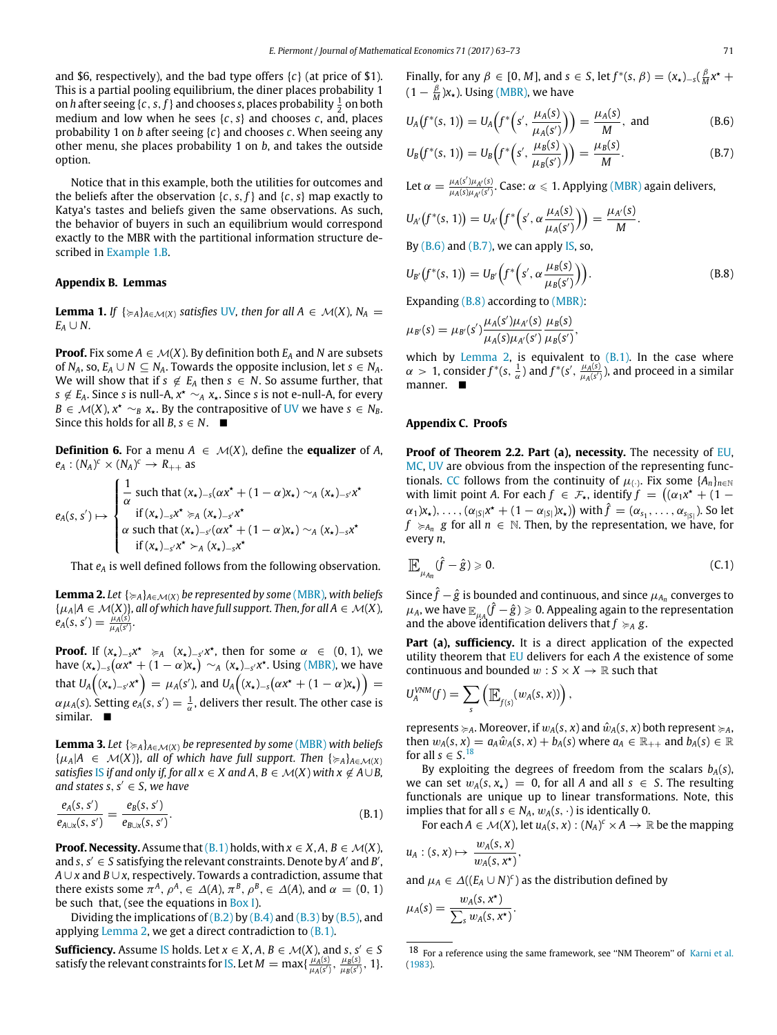and \$6, respectively), and the bad type offers {*c*} (at price of \$1). This is a partial pooling equilibrium, the diner places probability 1 on *h* after seeing { $c$  ,  $s$  ,  $f$  } and chooses *s*, places probability  $\frac{1}{2}$  on both medium and low when he sees {*c*, *s*} and chooses *c*, and, places probability 1 on *b* after seeing {*c*} and chooses *c*. When seeing any other menu, she places probability 1 on *b*, and takes the outside option.

Notice that in this example, both the utilities for outcomes and the beliefs after the observation {*c*, *s*, *f*} and {*c*, *s*} map exactly to Katya's tastes and beliefs given the same observations. As such, the behavior of buyers in such an equilibrium would correspond exactly to the MBR with the partitional information structure described in [Example 1.B.](#page-1-5)

# <span id="page-8-0"></span>**Appendix B. Lemmas**

<span id="page-8-8"></span>**Lemma 1.** *If*  $\{\succcurlyeq_A\}_{A \in \mathcal{M}(X)}$  *satisfies* [UV](#page-4-5), then for all  $A \in \mathcal{M}(X)$ ,  $N_A =$  $E_A \cup N$ .

**Proof.** Fix some  $A \in \mathcal{M}(X)$ . By definition both  $E_A$  and  $N$  are subsets of *N*<sup>*A*</sup>, so, *E*<sup>*A*</sup> ∪ *N* ⊆ *N*<sup>*A*</sup>. Towards the opposite inclusion, let *s* ∈ *N*<sup>*A*</sup>. We will show that if *s*  $\not\in E$ <sup>*A*</sup> then *s* ∈ *N*. So assume further, that *s* ∉ *E*<sub>*A*</sub>. Since *s* is null-A,  $x^* \sim_A x_*$ . Since *s* is not e-null-A, for every  $B \in \mathcal{M}(X)$ ,  $x^* \sim_B x_*$ . By the contrapositive of [UV](#page-4-5) we have  $s \in N_B$ . Since this holds for all *B*,  $s \in N$ .  $\blacksquare$ 

**Definition 6.** For a menu  $A \in \mathcal{M}(X)$ , define the **equalizer** of *A*,  $e_A : (N_A)^c \times (N_A)^c \rightarrow R_{++}$  as

$$
e_A(s, s') \mapsto \begin{cases} \frac{1}{\alpha} \text{ such that } (x_{\star})_{-s}(\alpha x^{\star} + (1 - \alpha)x_{\star}) \sim_A (x_{\star})_{-s'} x^{\star} \\ \text{if } (x_{\star})_{-s} x^{\star} \succ_A (x_{\star})_{-s'} x^{\star} \\ \alpha \text{ such that } (x_{\star})_{-s'}(\alpha x^{\star} + (1 - \alpha)x_{\star}) \sim_A (x_{\star})_{-s} x^{\star} \\ \text{if } (x_{\star})_{-s'} x^{\star} \succ_A (x_{\star})_{-s} x^{\star} \end{cases}
$$

That *e<sup>A</sup>* is well defined follows from the following observation.

<span id="page-8-3"></span>**Lemma 2.** Let  $\{\succcurlyeq_A\}_{A \in \mathcal{M}(X)}$  be represented by some ([MBR](#page-4-12)), with beliefs  $\{\mu_A | A \in \mathcal{M}(X)\}\$ , all of which have full support. Then, for all  $A \in \mathcal{M}(X)\$ ,  $e_A(s, s') = \frac{\mu_A(s)}{\mu_A(s')}$ *.*

**Proof.** If  $(x_{\star})_{-s}x^{\star} \geq A$   $(x_{\star})_{-s}x^{\star}$ , then for some  $\alpha \in (0, 1)$ , we have  $(x_\star)_{-s}\big(\alpha x^\star + (1-\alpha)x_\star\big) \sim_A (x_\star)_{-s'}x^\star.$  Using ([MBR](#page-4-12)), we have that  $U_A((x_\star)_{-s'}x^\star) = \mu_A(s')$ , and  $U_A((x_\star)_{-s}(\alpha x^\star + (1-\alpha)x_\star)) =$  $\alpha \mu_A(s)$ . Setting  $e_A(s, s') = \frac{1}{\alpha}$ , delivers ther result. The other case is similar. ■

<span id="page-8-9"></span>**Lemma 3.** Let  $\{\succcurlyeq_A\}_{A \in \mathcal{M}(X)}$  be represented by some ([MBR](#page-4-12)) with beliefs  $\{\mu_A | A \in \mathcal{M}(X)\}\$ , all of which have full support. Then  $\{\gtrsim_A\}_{A \in \mathcal{M}(X)}\}$ *satisfies* [IS](#page-5-3) *if and only if, for all*  $x \in X$  *and*  $A, B \in M(X)$  *with*  $x \notin A \cup B$ , *and states s*, *s* ′ ∈ *S, we have*

<span id="page-8-2"></span>
$$
\frac{e_A(s,s')}{e_{A\cup x}(s,s')} = \frac{e_B(s,s')}{e_{B\cup x}(s,s')}.
$$
\n(B.1)

**Proof. Necessity.** Assume that  $(B,1)$  holds, with  $x \in X$ ,  $A, B \in M(X)$ , and  $s, s' \in S$  satisfying the relevant constraints. Denote by  $A'$  and  $B'$ , *A* ∪ *x* and *B* ∪ *x*, respectively. Towards a contradiction, assume that there exists some  $\pi^A$ ,  $\rho^A$ ,  $\in \Delta(A)$ ,  $\pi^B$ ,  $\rho^B$ ,  $\in \Delta(A)$ , and  $\alpha = (0, 1)$ be such that, (see the equations in [Box](#page-9-0) [I\)](#page-9-0).

Dividing the implications of  $(B.2)$  by  $(B.4)$  and  $(B.3)$  by  $(B.5)$ , and applying [Lemma 2,](#page-8-3) we get a direct contradiction to  $(B.1)$ .

**Sufficiency.** Assume [IS](#page-5-3) holds. Let  $x \in X$ ,  $A, B \in M(X)$ , and  $s, s' \in S$ satisfy the relevant constraints for [IS](#page-5-3). Let  $M = \max\{\frac{\mu_A(s)}{\mu_A(s')}, \frac{\mu_B(s)}{\mu_B(s')}, 1\}.$  Finally, for any  $\beta \in [0, M]$ , and  $s \in S$ , let  $f^*(s, \beta) = (x_\star)_{-s}(\frac{\beta}{M}x^\star +$  $(1 - \frac{\beta}{M})x_{\star}$ ). Using ([MBR](#page-4-12)), we have

<span id="page-8-4"></span>
$$
U_A(f^*(s, 1)) = U_A(f^*\left(s', \frac{\mu_A(s)}{\mu_A(s')}\right)) = \frac{\mu_A(s)}{M}, \text{ and } (B.6)
$$

<span id="page-8-5"></span>
$$
U_B(f^*(s, 1)) = U_B(f^*\left(s', \frac{\mu_B(s)}{\mu_B(s')}\right)) = \frac{\mu_B(s)}{M}.
$$
 (B.7)

Let  $\alpha = \frac{\mu_A(s')\mu_{A'}(s)}{\mu_A(s)\mu_{A'}(s')}$  $\frac{\mu_A(s)\mu_{A'}(s)}{\mu_A(s)\mu_{A'}(s')}$ . Case:  $\alpha \leq 1$ . Applying ([MBR](#page-4-12)) again delivers,

$$
U_{A'}(f^*(s, 1)) = U_{A'}(f^*\Big(s', \alpha \frac{\mu_A(s)}{\mu_A(s')}\Big)\Big) = \frac{\mu_{A'}(s)}{M}.
$$

By  $(B.6)$  and  $(B.7)$ , we can apply [IS](#page-5-3), so,

<span id="page-8-6"></span>
$$
U_{B'}(f^*(s, 1)) = U_{B'}(f^*\left(s', \alpha \frac{\mu_B(s)}{\mu_B(s')}\right)).
$$
 (B.8)

Expanding [\(B.8\)](#page-8-6) according to ([MBR](#page-4-12)):

$$
\mu_{B'}(s) = \mu_{B'}(s') \frac{\mu_A(s') \mu_{A'}(s)}{\mu_A(s) \mu_{A'}(s')} \frac{\mu_B(s)}{\mu_B(s')},
$$

which by [Lemma 2,](#page-8-3) is equivalent to  $(B.1)$ . In the case where  $\alpha > 1$ , consider  $f^*(s, \frac{1}{\alpha})$  and  $f^*(s', \frac{\mu_A(s)}{\mu_A(s')})$ , and proceed in a similar manner. ■

# <span id="page-8-1"></span>**Appendix C. Proofs**

**Proof of Theorem 2.2. Part (a), necessity.** The necessity of [EU](#page-3-1), [MC](#page-3-0), [UV](#page-4-5) are obvious from the inspection of the representing func-tionals. [CC](#page-4-0) follows from the continuity of  $\mu_{(\cdot)}$ . Fix some  $\{A_n\}_{n\in\mathbb{N}}$ with limit point *A*. For each  $f \in \mathcal{F}_{\star}$ , identify  $f = ((\alpha_1 x^* + (1 (\alpha_1)x_\star), \ldots, (\alpha_{|S|}x^\star + (1 - \alpha_{|S|})x_\star)$  with  $\hat{f} = (\alpha_{s_1}, \ldots, \alpha_{s_{|S|}})$ . So let *f*  $\succcurlyeq_{A_n}$  *g* for all *n* ∈ N. Then, by the representation, we have, for every *n*,

$$
\mathbb{E}_{\mu_{A_n}}(\hat{f}-\hat{g})\geqslant 0.\tag{C.1}
$$

Since  $\hat{f} - \hat{g}$  is bounded and continuous, and since  $\mu_{A_n}$  converges to  $\mu_A$ , we have  $\mathbb{E}_{\mu_A}(\hat{f}-\hat{g})\geqslant 0$ . Appealing again to the representation and the above identification delivers that  $f \succcurlyeq_A g$ .

Part (a), sufficiency. It is a direct application of the expected utility theorem that [EU](#page-3-1) delivers for each *A* the existence of some continuous and bounded  $w : S \times X \rightarrow \mathbb{R}$  such that

$$
U_A^{VNM}(f) = \sum_s \left( \mathbb{E}_{f(s)}(w_A(s,x)) \right),
$$

represents  $\succcurlyeq_A$ . Moreover, if  $w_A(s, x)$  and  $\hat{w}_A(s, x)$  both represent  $\succcurlyeq_A$ , then  $w_A(s, x) = a_A \hat{w}_A(s, x) + b_A(s)$  where  $a_A \in \mathbb{R}_{++}$  and  $b_A(s) \in \mathbb{R}$ for all  $s \in S$ <sup>[18](#page-8-7)</sup>

By exploiting the degrees of freedom from the scalars  $b_A(s)$ , we can set  $w_A(s, x_*) = 0$ , for all *A* and all  $s \in S$ . The resulting functionals are unique up to linear transformations. Note, this implies that for all  $s \in N_A$ ,  $w_A(s, \cdot)$  is identically 0.

For each  $A \in \mathcal{M}(X)$ , let  $u_A(s, x) : (N_A)^c \times A \rightarrow \mathbb{R}$  be the mapping

$$
u_A: (s, x) \mapsto \frac{w_A(s, x)}{w_A(s, x^*)},
$$
  
and  $u_A \in A((E_A + \lfloor N \rfloor^c))$ 

and  $\mu_A \in \Delta((E_A \cup N)^c)$  as the distribution defined by

$$
\mu_A(s) = \frac{w_A(s, x^*)}{\sum_s w_A(s, x^*)}.
$$

<span id="page-8-7"></span><sup>18</sup> For a reference using the same framework, see ''NM Theorem'' of [Karni](#page-10-10) [et](#page-10-10) [al.](#page-10-10)  $(1983)$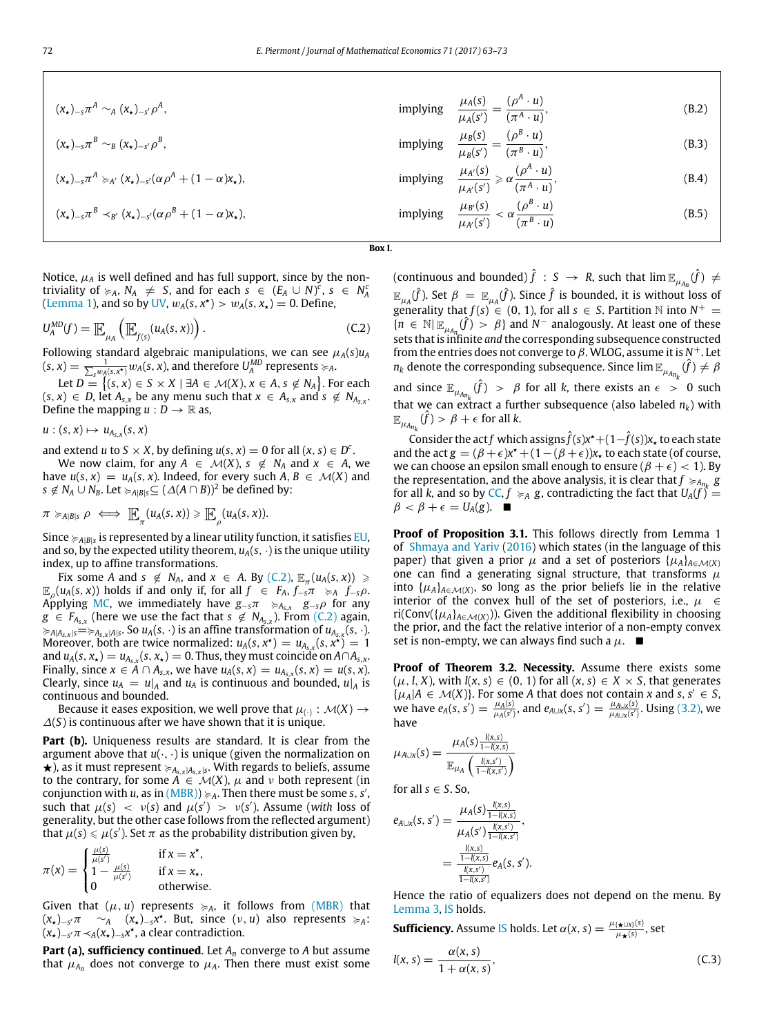<span id="page-9-3"></span><span id="page-9-2"></span><span id="page-9-1"></span><span id="page-9-0"></span>

| $(x_{\star})_{-s}\pi^{A} \sim_{A} (x_{\star})_{-s'}\rho^{A},$                                           | implying $\frac{\mu_A(s)}{\mu_A(s')} = \frac{(\rho^A \cdot u)}{(\pi^A \cdot u)},$                 | (B.2) |
|---------------------------------------------------------------------------------------------------------|---------------------------------------------------------------------------------------------------|-------|
| $(x_{\star})_{-s}\pi^{B} \sim_{B} (x_{\star})_{-s'}\rho^{B},$                                           | implying $\frac{\mu_B(s)}{\mu_B(s')} = \frac{(\rho^B \cdot u)}{(\pi^B \cdot u)},$                 | (B.3) |
| $(x_{\star})_{-s}\pi^{A} \succcurlyeq_{A'} (x_{\star})_{-s'}(\alpha \rho^{A} + (1 - \alpha)x_{\star}),$ | implying $\frac{\mu_{A'}(s)}{\mu_{A'}(s')} \geq \alpha \frac{(\rho^A \cdot u)}{(\pi^A \cdot u)},$ | (B.4) |
| $(x_{\star})_{-s}\pi^{B} \prec_{B'} (x_{\star})_{-s'}(\alpha \rho^{B} + (1 - \alpha)x_{\star}),$        | implying $\frac{\mu_{B'}(s)}{\mu_{A'}(s')} < \alpha \frac{(\rho^B \cdot u)}{(\pi^B \cdot u)}$     | (B.5) |

**Box I.**

<span id="page-9-4"></span>Notice,  $\mu_A$  is well defined and has full support, since by the nontriviality of  $\succcurlyeq_A$ ,  $N_A \neq S$ , and for each  $s \in (E_A \cup N)^c$ ,  $s \in N_A^c$ [\(Lemma 1\)](#page-8-8), and so by [UV](#page-4-5),  $w_A(s, x^*) > w_A(s, x_*) = 0$ . Define,

<span id="page-9-5"></span>
$$
U_A^{MD}(f) = \mathbb{E}_{\mu_A} \left( \mathbb{E}_{f(s)}(u_A(s, x)) \right). \tag{C.2}
$$

Following standard algebraic manipulations, we can see  $\mu_A(s)u_A$  $(s, x) = \frac{1}{\sum_{s} w_A(s, x^{\star})} w_A(s, x)$ , and therefore  $U_A^{MD}$  represents  $\succcurlyeq_A$ .

Let  $D = \{(s, x) \in S \times X \mid \exists A \in \mathcal{M}(X), x \in A, s \notin N_A\}$ . For each  $(s, x) \in D$ , let  $A_{s,x}$  be any menu such that  $x \in A_{s,x}$  and  $s \notin N_{A_{s,x}}$ . Define the mapping  $u : D \to \mathbb{R}$  as,

 $u:(s,x)\mapsto u_{A_{s,x}}(s,x)$ 

and extend *u* to  $S \times X$ , by defining  $u(s, x) = 0$  for all  $(x, s) \in D^c$ .

We now claim, for any  $A \in \mathcal{M}(X)$ ,  $s \notin N_A$  and  $x \in A$ , we have  $u(s, x) = u_A(s, x)$ . Indeed, for every such  $A, B \in \mathcal{M}(X)$  and *s* ∉ *N<sub>A</sub>* ∪ *N<sub>B</sub>*. Let  $\succcurlyeq$ <sub>*A*|*B*|*s*</sub>⊆ ( $\Delta$ (*A* ∩ *B*))<sup>2</sup> be defined by:

$$
\pi \succcurlyeq_{A|B|S} \rho \iff \mathbb{E}_{\pi}(u_A(s,x)) \geq \mathbb{E}_{\rho}(u_A(s,x)).
$$

Since ≽*A*|*B*|*<sup>s</sup>* is represented by a linear utility function, it satisfies [EU](#page-3-1), and so, by the expected utility theorem,  $u_A(s, \cdot)$  is the unique utility index, up to affine transformations.

Fix some *A* and  $s \notin N_A$ , and  $x \in A$ . By [\(C.2\),](#page-9-5)  $\mathbb{E}_{\pi}(u_A(s, x)) \ge$  $\mathbb{E}_{\rho}(u_A(s, x))$  holds if and only if, for all  $f \in F_A$ ,  $f_{-s}\pi \succ_{A} f_{-s}\rho$ . Applying [MC](#page-3-0), we immediately have *<sup>g</sup>*−*s*π <sup>≽</sup>*As*,*<sup>x</sup> g*−*s*ρ for any *g* ∈ *F*<sub>*A*<sup>*s*</sup>,*x*</sub> (here we use the fact that *s* ∉ *N*<sub>*A*<sup>*s*</sup>,*x*</sub>). From [\(C.2\)](#page-9-5) again,  $\succcurlyeq$  *A*|*A*<sub>*s*,*x*</sub>|*S*  $\cong$   $\succcurlyeq$  *A*<sub>*s*,*x*</sub>|*A*|*s*. So *u<sub>A</sub>*(*s*, ·) is an affine transformation of *u*<sub>*A*<sub>*s*,*x*</sub>(*s*, ·).</sub> Moreover, both are twice normalized:  $u_A(s, x^*) = u_{A_{s,x}}(s, x^*) = 1$ and  $u_A(s, x_*) = u_{A_{s,x}}(s, x_*) = 0$ . Thus, they must coincide on  $A \cap A_{s,x}$ . Finally, since  $x \in A \cap A_{s,x}$ , we have  $u_A(s, x) = u_{A_{s,x}}(s, x) = u(s, x)$ . Clearly, since  $u_A = u|_A$  and  $u_A$  is continuous and bounded,  $u|_A$  is continuous and bounded.

Because it eases exposition, we well prove that  $\mu_{(\cdot)}: \mathcal{M}(X) \rightarrow$ ∆(*S*) is continuous after we have shown that it is unique.

Part (b). Uniqueness results are standard. It is clear from the argument above that  $u(\cdot, \cdot)$  is unique (given the normalization on <sup>⋆</sup>), as it must represent <sup>≽</sup>*As*,*x*|*As*,*x*|*<sup>s</sup>* . With regards to beliefs, assume to the contrary, for some  $A \in \mathcal{M}(X)$ ,  $\mu$  and  $\nu$  both represent (in conjunction with *u*, as in  $(MBR)) \succcurlyeq_A$  $(MBR)) \succcurlyeq_A$  $(MBR)) \succcurlyeq_A$ . Then there must be some *s*, *s'*, such that  $\mu(s) < v(s)$  and  $\mu(s') > v(s')$ . Assume (*with* loss of generality, but the other case follows from the reflected argument) that  $\mu(s) \leqslant \mu(s')$ . Set  $\pi$  as the probability distribution given by,

$$
\pi(x) = \begin{cases} \frac{\mu(s)}{\mu(s')} & \text{if } x = x^*, \\ 1 - \frac{\mu(s)}{\mu(s')} & \text{if } x = x_*, \\ 0 & \text{otherwise.} \end{cases}
$$

Given that  $(\mu, u)$  represents  $\succcurlyeq_A$ , it follows from ([MBR](#page-4-12)) that (*x*⋆)−*<sup>s</sup>* ′π ∼*<sup>A</sup>* (*x*⋆)−*sx* ⋆ . But, since (ν, *u*) also represents ≽*A*: (*x*⋆)−*<sup>s</sup>* ′π≺*A*(*x*⋆)−*sx* ⋆ , a clear contradiction.

**Part (a), sufficiency continued.** Let  $A_n$  converge to  $A$  but assume that  $\mu_{A_n}$  does not converge to  $\mu_A$ . Then there must exist some (continuous and bounded)  $\hat{f}$  :  $S \rightarrow R$ , such that  $\lim_{\mu_{A_n}} (\hat{f}) \neq$  $\mathbb{E}_{\mu_A}(\hat{f}).$  Set  $\beta = \mathbb{E}_{\mu_A}(\hat{f}).$  Since  $\hat{f}$  is bounded, it is without loss of generality that  $f(s) \in (0, 1)$ , for all  $s \in S$ . Partition N into  $N^+$  ${n \in \mathbb{N} \mid \mathbb{E}_{\mu_{A_{n}}}(\hat{f}) > \beta}$  and  $N^-$  analogously. At least one of these sets that is infinite *and* the corresponding subsequence constructed from the entries does not converge to  $\beta$ . WLOG, assume it is  $N^+$ . Let *n<sub>k</sub>* denote the corresponding subsequence. Since  $\lim_{\mathbb{E}_{\mu_{A_{n_k}}}(\hat{f}) \neq \beta}$ and since  $\mathbb{E}_{\mu_{A_{n_k}}}(\hat{f}) > \beta$  for all *k*, there exists an  $\epsilon > 0$  such that we can extract a further subsequence (also labeled  $n_k$ ) with  $\mathbb{E}_{\mu_{A_{n_k}}}(\hat{f}) > \beta + \epsilon$  for all *k*.

 $\hat{\text{Consider}}$  the act $f$  which assigns $\hat{f}(s)$ x $^\star$  +  $(1-\hat{f}(s))$ x $_\star$  to each state and the act  $g = (\beta + \epsilon)x^* + (1 - (\beta + \epsilon))x^*$  to each state (of course, we can choose an epsilon small enough to ensure ( $\beta + \epsilon$ ) < 1). By the representation, and the above analysis, it is clear that  $f \succcurlyeq_{A_{n,k}} g$ for all *k*, and so by [CC](#page-4-0),  $f \succcurlyeq_A g$ , contradicting the fact that  $U_A(f) =$  $\beta < \beta + \epsilon = U_A(g)$ .

**Proof of Proposition 3.1.** This follows directly from Lemma 1 of [Shmaya](#page-10-8) [and](#page-10-8) [Yariv](#page-10-8) [\(2016\)](#page-10-8) which states (in the language of this paper) that given a prior  $\mu$  and a set of posteriors  $\{\mu_A\}_{A \in \mathcal{M}(X)}$ one can find a generating signal structure, that transforms  $\mu$ into  $\{\mu_A\}_{A \in \mathcal{M}(X)}$ , so long as the prior beliefs lie in the relative interior of the convex hull of the set of posteriors, i.e.,  $\mu \in$ ri(Conv({ $\mu_A$ }<sub>*A∈M(X)*</sub>)). Given the additional flexibility in choosing the prior, and the fact the relative interior of a non-empty convex set is non-empty, we can always find such a  $\mu$ .  $\blacksquare$ 

**Proof of Theorem 3.2. Necessity.** Assume there exists some  $(\mu, l, X)$ , with  $l(x, s) \in (0, 1)$  for all  $(x, s) \in X \times S$ , that generates  $\{\mu_A | A \in \mathcal{M}(X)\}\$ . For some *A* that does not contain *x* and *s*, *s'*  $\in$  *S*, we have  $e_A(s, s') = \frac{\mu_A(s)}{\mu_A(s')}$ , and  $e_{A \cup x}(s, s') = \frac{\mu_{A \cup x}(s)}{\mu_{A \cup x}(s')}$ . Using [\(3.2\),](#page-5-4) we have

$$
\mu_{A\cup x}(s) = \frac{\mu_A(s) \frac{l(x,s)}{1-l(x,s)}}{\mathbb{E}_{\mu_A}\left(\frac{l(x,s')}{1-l(x,s')}\right)}
$$

for all  $s \in S$ . So,

$$
e_{A\cup x}(s, s') = \frac{\mu_A(s) \frac{I(x, s)}{1 - I(x, s)}}{\mu_A(s') \frac{I(x, s')}{1 - I(x, s')}} ,
$$
  
= 
$$
\frac{\frac{I(x, s)}{1 - I(x, s)}}{\frac{I(x, s')}{1 - I(x, s')}} e_A(s, s').
$$

Hence the ratio of equalizers does not depend on the menu. By [Lemma 3,](#page-8-9) [IS](#page-5-3) holds.

**Sufficiency.** Assume [IS](#page-5-3) holds. Let  $\alpha(x, s) = \frac{\mu_{\lbrace \star \cup x \rbrace}(s)}{\mu_{\lbrace x \rbrace}(s)}$  $\frac{\mathbf{x} \cup \mathbf{x} \setminus \mathbf{x} \setminus \mathbf{x} \mathbf{x} \cdot \mathbf{x} \cdot \mathbf{x} \cdot \mathbf{x} \cdot \mathbf{x} \cdot \mathbf{x} \cdot \mathbf{x} \cdot \mathbf{x} \cdot \mathbf{x} \cdot \mathbf{x} \cdot \mathbf{x} \cdot \mathbf{x} \cdot \mathbf{x} \cdot \mathbf{x} \cdot \mathbf{x} \cdot \mathbf{x} \cdot \mathbf{x} \cdot \mathbf{x} \cdot \mathbf{x} \cdot \mathbf{x} \cdot \mathbf{x} \cdot \mathbf{x} \cdot \mathbf{x} \cdot \mathbf{x} \cdot \mathbf{x} \cdot \mathbf{x} \cdot \mathbf{x} \cdot \$ 

$$
l(x,s) = \frac{\alpha(x,s)}{1 + \alpha(x,s)},
$$
\n(C.3)